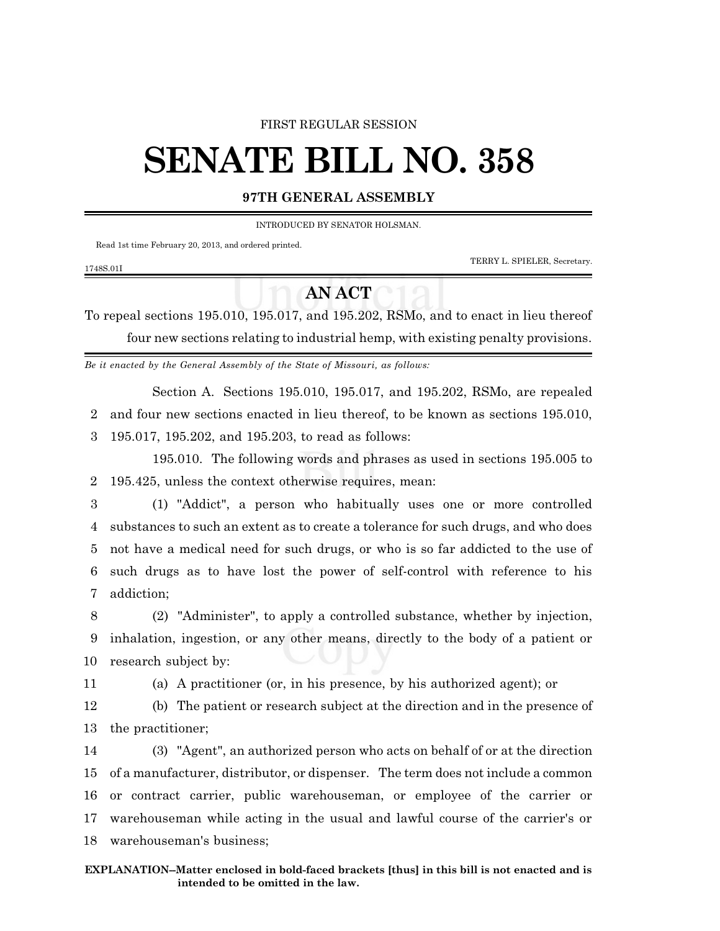## FIRST REGULAR SESSION

## **SENATE BILL NO. 358**

## **97TH GENERAL ASSEMBLY**

INTRODUCED BY SENATOR HOLSMAN.

Read 1st time February 20, 2013, and ordered printed.

TERRY L. SPIELER, Secretary.

## **AN ACT**

To repeal sections 195.010, 195.017, and 195.202, RSMo, and to enact in lieu thereof four new sections relating to industrial hemp, with existing penalty provisions.

*Be it enacted by the General Assembly of the State of Missouri, as follows:*

Section A. Sections 195.010, 195.017, and 195.202, RSMo, are repealed 2 and four new sections enacted in lieu thereof, to be known as sections 195.010,

3 195.017, 195.202, and 195.203, to read as follows:

195.010. The following words and phrases as used in sections 195.005 to 2 195.425, unless the context otherwise requires, mean:

 (1) "Addict", a person who habitually uses one or more controlled substances to such an extent as to create a tolerance for such drugs, and who does not have a medical need for such drugs, or who is so far addicted to the use of such drugs as to have lost the power of self-control with reference to his addiction;

8 (2) "Administer", to apply a controlled substance, whether by injection, 9 inhalation, ingestion, or any other means, directly to the body of a patient or 10 research subject by:

1748S.01I

11 (a) A practitioner (or, in his presence, by his authorized agent); or

12 (b) The patient or research subject at the direction and in the presence of 13 the practitioner;

 (3) "Agent", an authorized person who acts on behalf of or at the direction of a manufacturer, distributor, or dispenser. The term does not include a common or contract carrier, public warehouseman, or employee of the carrier or warehouseman while acting in the usual and lawful course of the carrier's or warehouseman's business;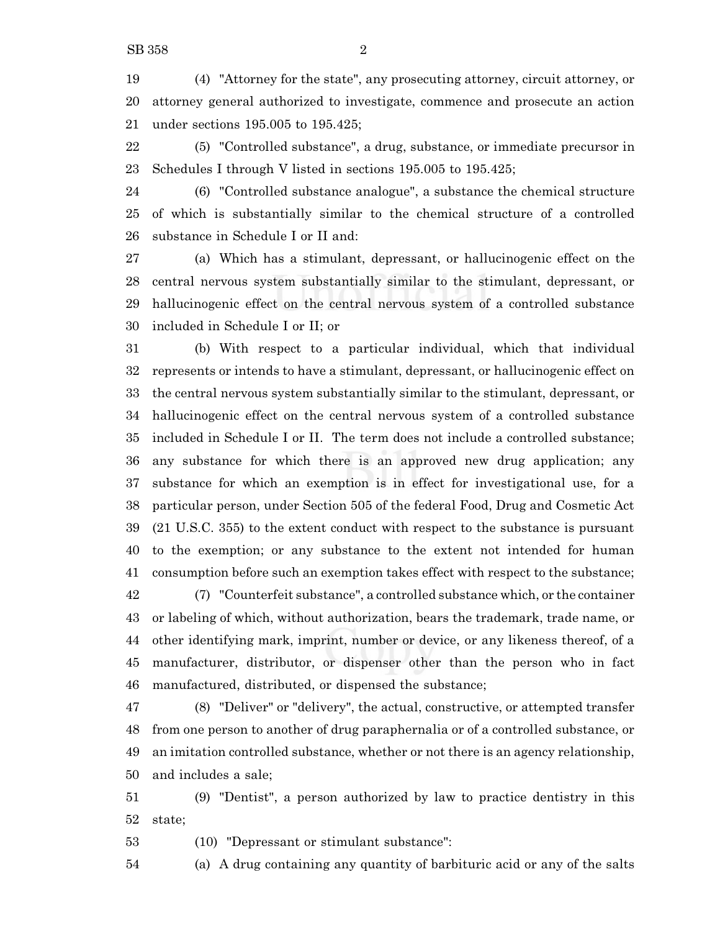(4) "Attorney for the state", any prosecuting attorney, circuit attorney, or attorney general authorized to investigate, commence and prosecute an action under sections 195.005 to 195.425;

 (5) "Controlled substance", a drug, substance, or immediate precursor in Schedules I through V listed in sections 195.005 to 195.425;

 (6) "Controlled substance analogue", a substance the chemical structure of which is substantially similar to the chemical structure of a controlled substance in Schedule I or II and:

 (a) Which has a stimulant, depressant, or hallucinogenic effect on the central nervous system substantially similar to the stimulant, depressant, or hallucinogenic effect on the central nervous system of a controlled substance included in Schedule I or II; or

 (b) With respect to a particular individual, which that individual represents or intends to have a stimulant, depressant, or hallucinogenic effect on the central nervous system substantially similar to the stimulant, depressant, or hallucinogenic effect on the central nervous system of a controlled substance included in Schedule I or II. The term does not include a controlled substance; any substance for which there is an approved new drug application; any substance for which an exemption is in effect for investigational use, for a particular person, under Section 505 of the federal Food, Drug and Cosmetic Act (21 U.S.C. 355) to the extent conduct with respect to the substance is pursuant to the exemption; or any substance to the extent not intended for human consumption before such an exemption takes effect with respect to the substance; (7) "Counterfeit substance", a controlled substance which, or the container or labeling of which, without authorization, bears the trademark, trade name, or

 other identifying mark, imprint, number or device, or any likeness thereof, of a manufacturer, distributor, or dispenser other than the person who in fact manufactured, distributed, or dispensed the substance;

 (8) "Deliver" or "delivery", the actual, constructive, or attempted transfer from one person to another of drug paraphernalia or of a controlled substance, or an imitation controlled substance, whether or not there is an agency relationship, and includes a sale;

 (9) "Dentist", a person authorized by law to practice dentistry in this state;

(10) "Depressant or stimulant substance":

(a) A drug containing any quantity of barbituric acid or any of the salts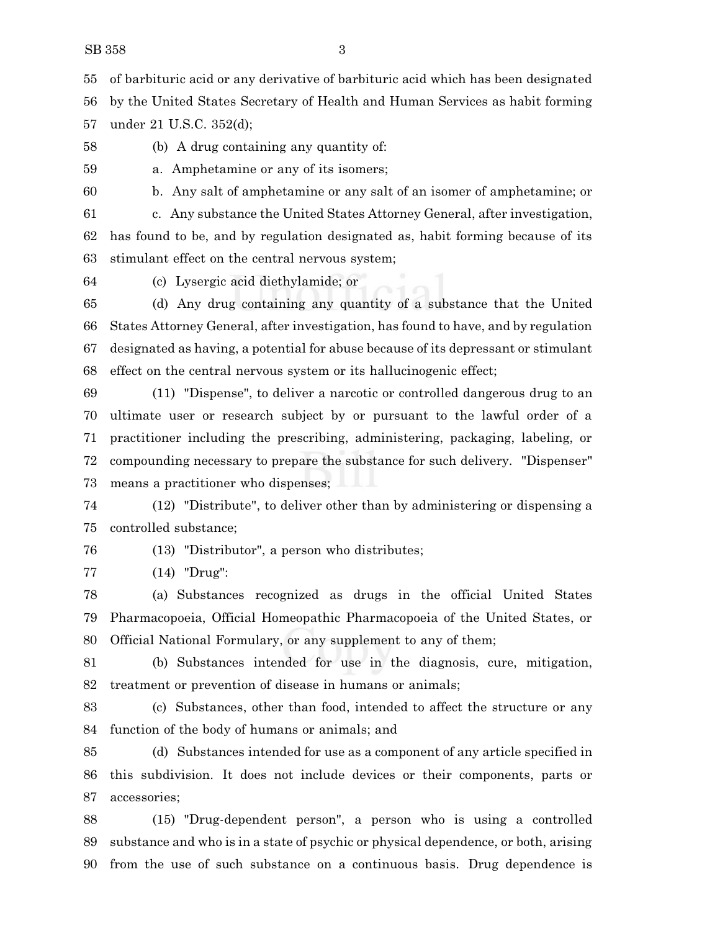of barbituric acid or any derivative of barbituric acid which has been designated by the United States Secretary of Health and Human Services as habit forming under 21 U.S.C. 352(d);

(b) A drug containing any quantity of:

a. Amphetamine or any of its isomers;

b. Any salt of amphetamine or any salt of an isomer of amphetamine; or

 c. Any substance the United States Attorney General, after investigation, has found to be, and by regulation designated as, habit forming because of its stimulant effect on the central nervous system;

(c) Lysergic acid diethylamide; or

 (d) Any drug containing any quantity of a substance that the United States Attorney General, after investigation, has found to have, and by regulation designated as having, a potential for abuse because of its depressant or stimulant effect on the central nervous system or its hallucinogenic effect;

 (11) "Dispense", to deliver a narcotic or controlled dangerous drug to an ultimate user or research subject by or pursuant to the lawful order of a practitioner including the prescribing, administering, packaging, labeling, or compounding necessary to prepare the substance for such delivery. "Dispenser" means a practitioner who dispenses;

 (12) "Distribute", to deliver other than by administering or dispensing a controlled substance;

(13) "Distributor", a person who distributes;

(14) "Drug":

 (a) Substances recognized as drugs in the official United States Pharmacopoeia, Official Homeopathic Pharmacopoeia of the United States, or Official National Formulary, or any supplement to any of them;

 (b) Substances intended for use in the diagnosis, cure, mitigation, treatment or prevention of disease in humans or animals;

 (c) Substances, other than food, intended to affect the structure or any function of the body of humans or animals; and

 (d) Substances intended for use as a component of any article specified in this subdivision. It does not include devices or their components, parts or accessories;

 (15) "Drug-dependent person", a person who is using a controlled substance and who is in a state of psychic or physical dependence, or both, arising from the use of such substance on a continuous basis. Drug dependence is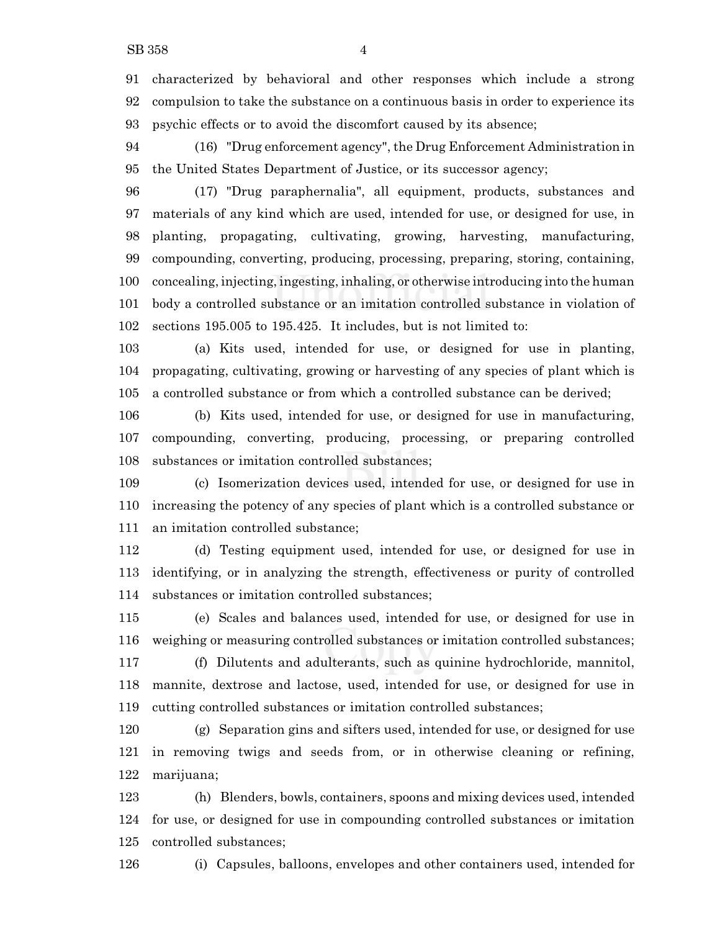characterized by behavioral and other responses which include a strong compulsion to take the substance on a continuous basis in order to experience its psychic effects or to avoid the discomfort caused by its absence;

 (16) "Drug enforcement agency", the Drug Enforcement Administration in the United States Department of Justice, or its successor agency;

 (17) "Drug paraphernalia", all equipment, products, substances and materials of any kind which are used, intended for use, or designed for use, in planting, propagating, cultivating, growing, harvesting, manufacturing, compounding, converting, producing, processing, preparing, storing, containing, concealing, injecting, ingesting, inhaling, or otherwise introducing into the human body a controlled substance or an imitation controlled substance in violation of sections 195.005 to 195.425. It includes, but is not limited to:

 (a) Kits used, intended for use, or designed for use in planting, propagating, cultivating, growing or harvesting of any species of plant which is a controlled substance or from which a controlled substance can be derived;

 (b) Kits used, intended for use, or designed for use in manufacturing, compounding, converting, producing, processing, or preparing controlled substances or imitation controlled substances;

 (c) Isomerization devices used, intended for use, or designed for use in increasing the potency of any species of plant which is a controlled substance or an imitation controlled substance;

 (d) Testing equipment used, intended for use, or designed for use in identifying, or in analyzing the strength, effectiveness or purity of controlled substances or imitation controlled substances;

 (e) Scales and balances used, intended for use, or designed for use in weighing or measuring controlled substances or imitation controlled substances; (f) Dilutents and adulterants, such as quinine hydrochloride, mannitol,

 mannite, dextrose and lactose, used, intended for use, or designed for use in cutting controlled substances or imitation controlled substances;

 (g) Separation gins and sifters used, intended for use, or designed for use in removing twigs and seeds from, or in otherwise cleaning or refining, marijuana;

 (h) Blenders, bowls, containers, spoons and mixing devices used, intended for use, or designed for use in compounding controlled substances or imitation controlled substances;

(i) Capsules, balloons, envelopes and other containers used, intended for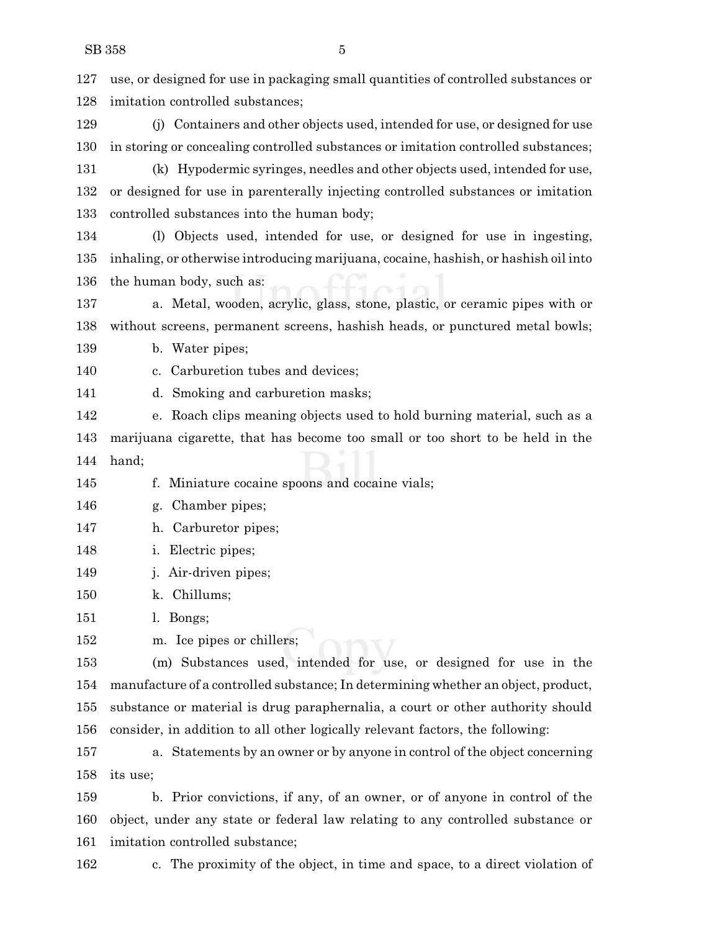| 127 | use, or designed for use in packaging small quantities of controlled substances or  |
|-----|-------------------------------------------------------------------------------------|
| 128 | imitation controlled substances;                                                    |
| 129 | (j) Containers and other objects used, intended for use, or designed for use        |
| 130 | in storing or concealing controlled substances or imitation controlled substances;  |
| 131 | (k) Hypodermic syringes, needles and other objects used, intended for use,          |
| 132 | or designed for use in parenterally injecting controlled substances or imitation    |
| 133 | controlled substances into the human body;                                          |
| 134 | Objects used, intended for use, or designed for use in ingesting,<br>(1)            |
| 135 | inhaling, or otherwise introducing marijuana, cocaine, hashish, or hashish oil into |
| 136 | the human body, such as:                                                            |
| 137 | a. Metal, wooden, acrylic, glass, stone, plastic, or ceramic pipes with or          |
| 138 | without screens, permanent screens, hashish heads, or punctured metal bowls;        |
| 139 | b. Water pipes;                                                                     |
| 140 | Carburetion tubes and devices;<br>c.                                                |
| 141 | Smoking and carburetion masks;<br>d.                                                |
| 142 | e. Roach clips meaning objects used to hold burning material, such as a             |
| 143 | marijuana cigarette, that has become too small or too short to be held in the       |
| 144 | hand;                                                                               |
| 145 | f. Miniature cocaine spoons and cocaine vials;                                      |
| 146 | Chamber pipes;<br>g.                                                                |
| 147 | h. Carburetor pipes;                                                                |
| 148 | Electric pipes;<br>ı.                                                               |
| 149 | j. Air-driven pipes;                                                                |
| 150 | k. Chillums;                                                                        |
| 151 | l. Bongs;                                                                           |
| 152 | m. Ice pipes or chillers;                                                           |
| 153 | (m) Substances used, intended for use, or designed for use in the                   |
| 154 | manufacture of a controlled substance; In determining whether an object, product,   |
| 155 | substance or material is drug paraphernalia, a court or other authority should      |
| 156 | consider, in addition to all other logically relevant factors, the following:       |
| 157 | a. Statements by an owner or by anyone in control of the object concerning          |
| 158 | its use;                                                                            |
| 159 | b. Prior convictions, if any, of an owner, or of anyone in control of the           |
| 160 | object, under any state or federal law relating to any controlled substance or      |
| 161 | imitation controlled substance;                                                     |
|     |                                                                                     |

c. The proximity of the object, in time and space, to a direct violation of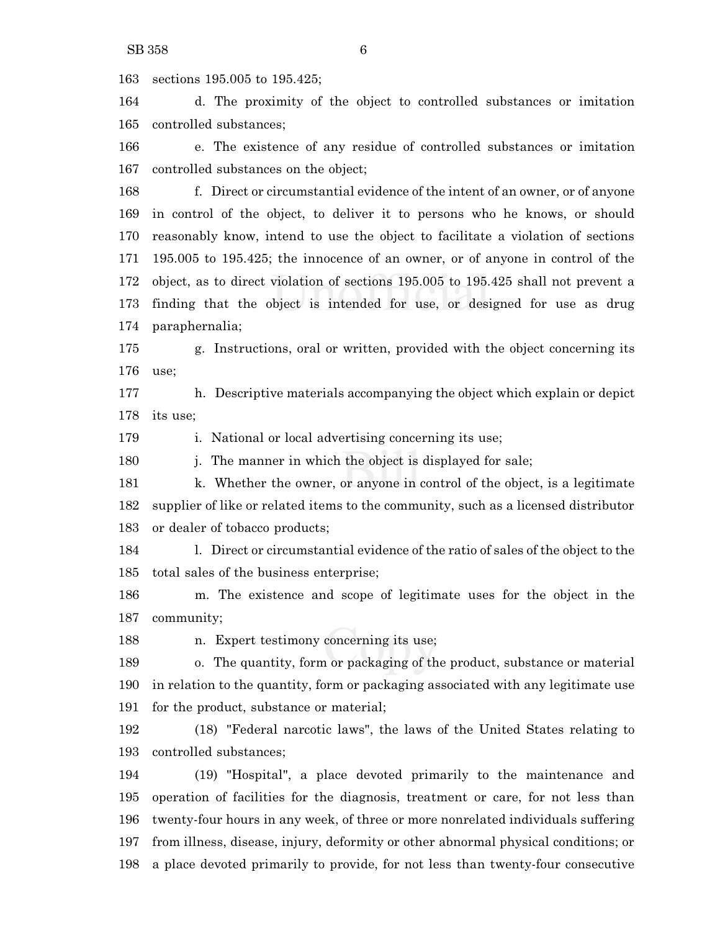sections 195.005 to 195.425;

 d. The proximity of the object to controlled substances or imitation controlled substances;

 e. The existence of any residue of controlled substances or imitation controlled substances on the object;

 f. Direct or circumstantial evidence of the intent of an owner, or of anyone in control of the object, to deliver it to persons who he knows, or should reasonably know, intend to use the object to facilitate a violation of sections 195.005 to 195.425; the innocence of an owner, or of anyone in control of the object, as to direct violation of sections 195.005 to 195.425 shall not prevent a finding that the object is intended for use, or designed for use as drug paraphernalia;

 g. Instructions, oral or written, provided with the object concerning its use;

 h. Descriptive materials accompanying the object which explain or depict its use;

179 i. National or local advertising concerning its use;

180 i. The manner in which the object is displayed for sale;

181 k. Whether the owner, or anyone in control of the object, is a legitimate supplier of like or related items to the community, such as a licensed distributor or dealer of tobacco products;

 l. Direct or circumstantial evidence of the ratio of sales of the object to the total sales of the business enterprise;

 m. The existence and scope of legitimate uses for the object in the community;

n. Expert testimony concerning its use;

 o. The quantity, form or packaging of the product, substance or material in relation to the quantity, form or packaging associated with any legitimate use for the product, substance or material;

 (18) "Federal narcotic laws", the laws of the United States relating to controlled substances;

 (19) "Hospital", a place devoted primarily to the maintenance and operation of facilities for the diagnosis, treatment or care, for not less than twenty-four hours in any week, of three or more nonrelated individuals suffering from illness, disease, injury, deformity or other abnormal physical conditions; or a place devoted primarily to provide, for not less than twenty-four consecutive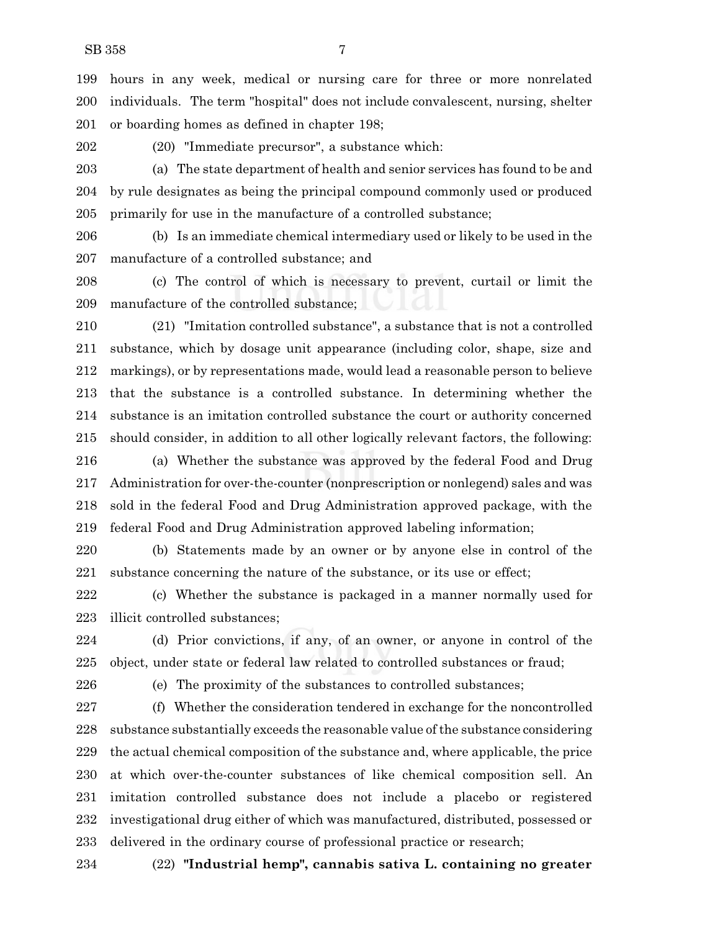hours in any week, medical or nursing care for three or more nonrelated individuals. The term "hospital" does not include convalescent, nursing, shelter or boarding homes as defined in chapter 198;

(20) "Immediate precursor", a substance which:

 (a) The state department of health and senior services has found to be and by rule designates as being the principal compound commonly used or produced primarily for use in the manufacture of a controlled substance;

 (b) Is an immediate chemical intermediary used or likely to be used in the manufacture of a controlled substance; and

 (c) The control of which is necessary to prevent, curtail or limit the manufacture of the controlled substance;

 (21) "Imitation controlled substance", a substance that is not a controlled substance, which by dosage unit appearance (including color, shape, size and markings), or by representations made, would lead a reasonable person to believe that the substance is a controlled substance. In determining whether the substance is an imitation controlled substance the court or authority concerned should consider, in addition to all other logically relevant factors, the following:

 (a) Whether the substance was approved by the federal Food and Drug Administration for over-the-counter (nonprescription or nonlegend) sales and was sold in the federal Food and Drug Administration approved package, with the federal Food and Drug Administration approved labeling information;

 (b) Statements made by an owner or by anyone else in control of the substance concerning the nature of the substance, or its use or effect;

 (c) Whether the substance is packaged in a manner normally used for illicit controlled substances;

 (d) Prior convictions, if any, of an owner, or anyone in control of the object, under state or federal law related to controlled substances or fraud;

(e) The proximity of the substances to controlled substances;

 (f) Whether the consideration tendered in exchange for the noncontrolled 228 substance substantially exceeds the reasonable value of the substance considering the actual chemical composition of the substance and, where applicable, the price at which over-the-counter substances of like chemical composition sell. An imitation controlled substance does not include a placebo or registered investigational drug either of which was manufactured, distributed, possessed or delivered in the ordinary course of professional practice or research;

(22) **"Industrial hemp", cannabis sativa L. containing no greater**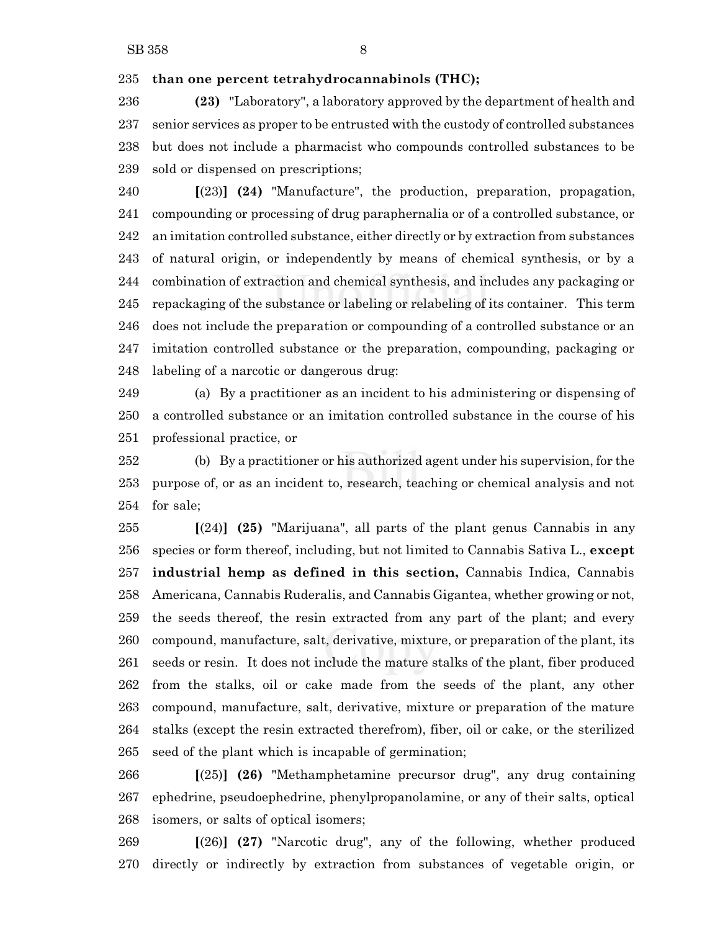**than one percent tetrahydrocannabinols (THC);**

 **(23)** "Laboratory", a laboratory approved by the department of health and senior services as proper to be entrusted with the custody of controlled substances but does not include a pharmacist who compounds controlled substances to be sold or dispensed on prescriptions;

 **[**(23)**] (24)** "Manufacture", the production, preparation, propagation, compounding or processing of drug paraphernalia or of a controlled substance, or an imitation controlled substance, either directly or by extraction from substances of natural origin, or independently by means of chemical synthesis, or by a combination of extraction and chemical synthesis, and includes any packaging or repackaging of the substance or labeling or relabeling of its container. This term does not include the preparation or compounding of a controlled substance or an imitation controlled substance or the preparation, compounding, packaging or labeling of a narcotic or dangerous drug:

 (a) By a practitioner as an incident to his administering or dispensing of a controlled substance or an imitation controlled substance in the course of his professional practice, or

 (b) By a practitioner or his authorized agent under his supervision, for the purpose of, or as an incident to, research, teaching or chemical analysis and not for sale;

 **[**(24)**] (25)** "Marijuana", all parts of the plant genus Cannabis in any species or form thereof, including, but not limited to Cannabis Sativa L., **except industrial hemp as defined in this section,** Cannabis Indica, Cannabis Americana, Cannabis Ruderalis, and Cannabis Gigantea, whether growing or not, the seeds thereof, the resin extracted from any part of the plant; and every compound, manufacture, salt, derivative, mixture, or preparation of the plant, its seeds or resin. It does not include the mature stalks of the plant, fiber produced from the stalks, oil or cake made from the seeds of the plant, any other compound, manufacture, salt, derivative, mixture or preparation of the mature stalks (except the resin extracted therefrom), fiber, oil or cake, or the sterilized seed of the plant which is incapable of germination;

 **[**(25)**] (26)** "Methamphetamine precursor drug", any drug containing ephedrine, pseudoephedrine, phenylpropanolamine, or any of their salts, optical isomers, or salts of optical isomers;

 **[**(26)**] (27)** "Narcotic drug", any of the following, whether produced directly or indirectly by extraction from substances of vegetable origin, or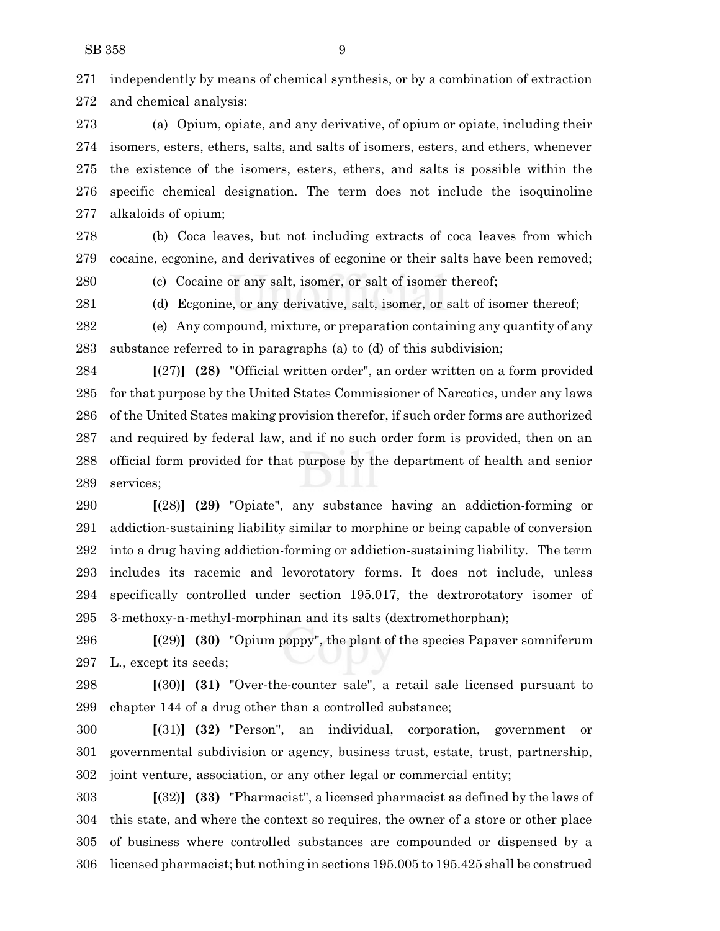independently by means of chemical synthesis, or by a combination of extraction and chemical analysis:

 (a) Opium, opiate, and any derivative, of opium or opiate, including their isomers, esters, ethers, salts, and salts of isomers, esters, and ethers, whenever the existence of the isomers, esters, ethers, and salts is possible within the specific chemical designation. The term does not include the isoquinoline alkaloids of opium;

 (b) Coca leaves, but not including extracts of coca leaves from which cocaine, ecgonine, and derivatives of ecgonine or their salts have been removed;

(c) Cocaine or any salt, isomer, or salt of isomer thereof;

(d) Ecgonine, or any derivative, salt, isomer, or salt of isomer thereof;

 (e) Any compound, mixture, or preparation containing any quantity of any substance referred to in paragraphs (a) to (d) of this subdivision;

 **[**(27)**] (28)** "Official written order", an order written on a form provided for that purpose by the United States Commissioner of Narcotics, under any laws of the United States making provision therefor, if such order forms are authorized and required by federal law, and if no such order form is provided, then on an official form provided for that purpose by the department of health and senior services;

 **[**(28)**] (29)** "Opiate", any substance having an addiction-forming or addiction-sustaining liability similar to morphine or being capable of conversion into a drug having addiction-forming or addiction-sustaining liability. The term includes its racemic and levorotatory forms. It does not include, unless specifically controlled under section 195.017, the dextrorotatory isomer of 3-methoxy-n-methyl-morphinan and its salts (dextromethorphan);

 **[**(29)**] (30)** "Opium poppy", the plant of the species Papaver somniferum L., except its seeds;

 **[**(30)**] (31)** "Over-the-counter sale", a retail sale licensed pursuant to chapter 144 of a drug other than a controlled substance;

 **[**(31)**] (32)** "Person", an individual, corporation, government or governmental subdivision or agency, business trust, estate, trust, partnership, joint venture, association, or any other legal or commercial entity;

 **[**(32)**] (33)** "Pharmacist", a licensed pharmacist as defined by the laws of this state, and where the context so requires, the owner of a store or other place of business where controlled substances are compounded or dispensed by a licensed pharmacist; but nothing in sections 195.005 to 195.425 shall be construed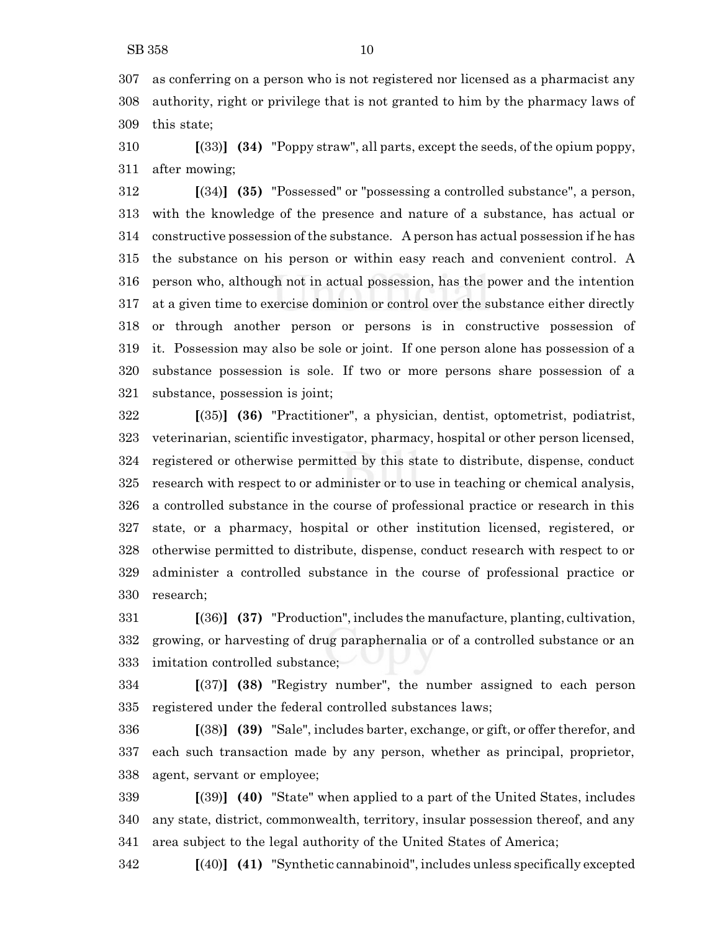as conferring on a person who is not registered nor licensed as a pharmacist any authority, right or privilege that is not granted to him by the pharmacy laws of this state;

 **[**(33)**] (34)** "Poppy straw", all parts, except the seeds, of the opium poppy, after mowing;

 **[**(34)**] (35)** "Possessed" or "possessing a controlled substance", a person, with the knowledge of the presence and nature of a substance, has actual or constructive possession of the substance. A person has actual possession if he has the substance on his person or within easy reach and convenient control. A person who, although not in actual possession, has the power and the intention at a given time to exercise dominion or control over the substance either directly or through another person or persons is in constructive possession of it. Possession may also be sole or joint. If one person alone has possession of a substance possession is sole. If two or more persons share possession of a substance, possession is joint;

 **[**(35)**] (36)** "Practitioner", a physician, dentist, optometrist, podiatrist, veterinarian, scientific investigator, pharmacy, hospital or other person licensed, registered or otherwise permitted by this state to distribute, dispense, conduct research with respect to or administer or to use in teaching or chemical analysis, a controlled substance in the course of professional practice or research in this state, or a pharmacy, hospital or other institution licensed, registered, or otherwise permitted to distribute, dispense, conduct research with respect to or administer a controlled substance in the course of professional practice or research;

 **[**(36)**] (37)** "Production", includes the manufacture, planting, cultivation, growing, or harvesting of drug paraphernalia or of a controlled substance or an imitation controlled substance;

 **[**(37)**] (38)** "Registry number", the number assigned to each person registered under the federal controlled substances laws;

 **[**(38)**] (39)** "Sale", includes barter, exchange, or gift, or offer therefor, and each such transaction made by any person, whether as principal, proprietor, agent, servant or employee;

 **[**(39)**] (40)** "State" when applied to a part of the United States, includes any state, district, commonwealth, territory, insular possession thereof, and any area subject to the legal authority of the United States of America;

**[**(40)**] (41)** "Synthetic cannabinoid", includes unless specifically excepted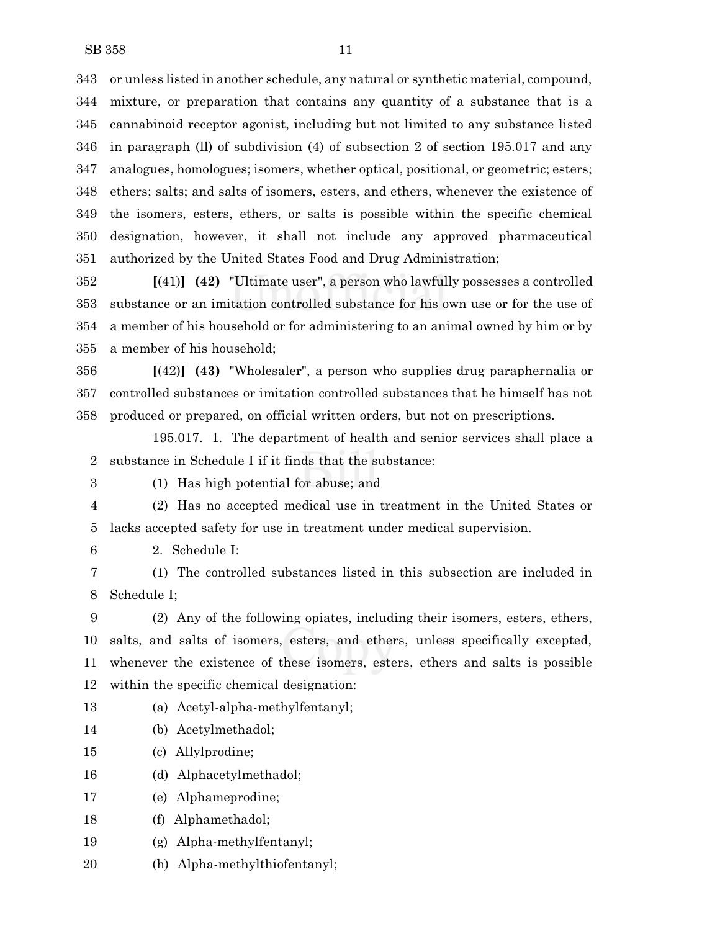or unless listed in another schedule, any natural or synthetic material, compound, mixture, or preparation that contains any quantity of a substance that is a cannabinoid receptor agonist, including but not limited to any substance listed in paragraph (ll) of subdivision (4) of subsection 2 of section 195.017 and any analogues, homologues; isomers, whether optical, positional, or geometric; esters; ethers; salts; and salts of isomers, esters, and ethers, whenever the existence of the isomers, esters, ethers, or salts is possible within the specific chemical designation, however, it shall not include any approved pharmaceutical authorized by the United States Food and Drug Administration;

 **[**(41)**] (42)** "Ultimate user", a person who lawfully possesses a controlled substance or an imitation controlled substance for his own use or for the use of a member of his household or for administering to an animal owned by him or by a member of his household;

 **[**(42)**] (43)** "Wholesaler", a person who supplies drug paraphernalia or controlled substances or imitation controlled substances that he himself has not produced or prepared, on official written orders, but not on prescriptions.

195.017. 1. The department of health and senior services shall place a substance in Schedule I if it finds that the substance:

(1) Has high potential for abuse; and

- (2) Has no accepted medical use in treatment in the United States or
- lacks accepted safety for use in treatment under medical supervision.
- 2. Schedule I:

 (1) The controlled substances listed in this subsection are included in Schedule I;

 (2) Any of the following opiates, including their isomers, esters, ethers, salts, and salts of isomers, esters, and ethers, unless specifically excepted, whenever the existence of these isomers, esters, ethers and salts is possible within the specific chemical designation:

- (a) Acetyl-alpha-methylfentanyl;
- (b) Acetylmethadol;
- (c) Allylprodine;
- (d) Alphacetylmethadol;
- (e) Alphameprodine;
- (f) Alphamethadol;
- (g) Alpha-methylfentanyl;
- (h) Alpha-methylthiofentanyl;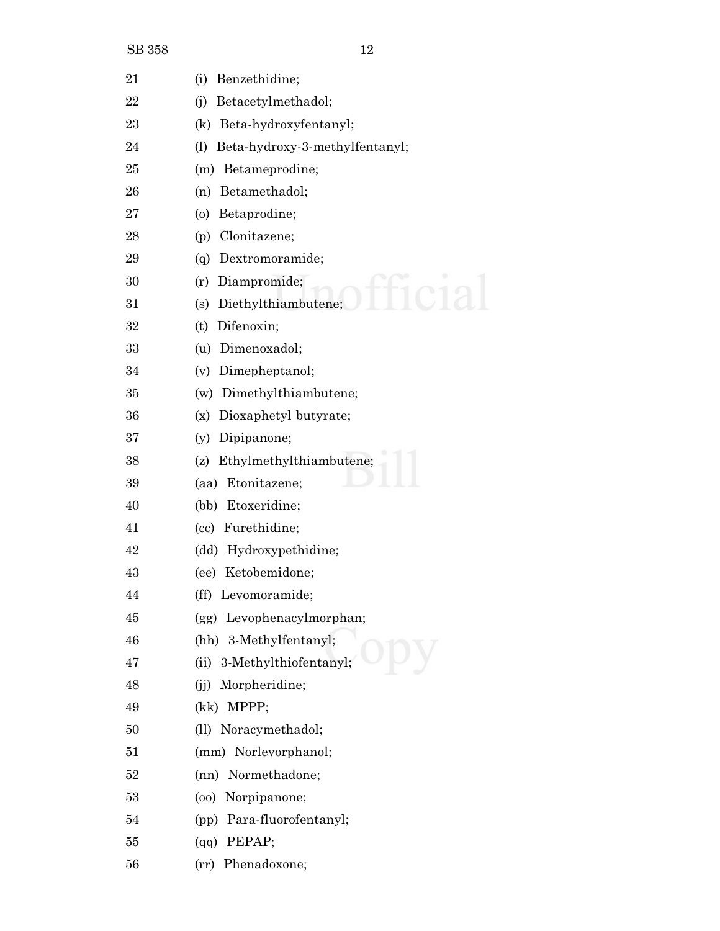| 21 | (i)<br>Benzethidine;                  |
|----|---------------------------------------|
| 22 | Betacetylmethadol;<br>(i)             |
| 23 | Beta-hydroxyfentanyl;<br>(k)          |
| 24 | Beta-hydroxy-3-methylfentanyl;<br>(1) |
| 25 | Betameprodine;<br>(m)                 |
| 26 | Betamethadol;<br>(n)                  |
| 27 | (0)<br>Betaprodine;                   |
| 28 | Clonitazene;<br>(p)                   |
| 29 | (q) Dextromoramide;                   |
| 30 | Diampromide;<br>(r)                   |
| 31 | (s) Diethylthiambutene;               |
| 32 | Difenoxin;<br>(t)                     |
| 33 | Dimenoxadol;<br>(u)                   |
| 34 | Dimepheptanol;<br>(v)                 |
| 35 | (w) Dimethylthiambutene;              |
| 36 | Dioxaphetyl butyrate;<br>(x)          |
| 37 | Dipipanone;<br>(y)                    |
| 38 | Ethylmethylthiambutene;<br>(z)        |
| 39 | (aa) Etonitazene;                     |
| 40 | Etoxeridine;<br>(bb)                  |
| 41 | (cc) Furethidine;                     |
| 42 | (dd) Hydroxypethidine;                |
| 43 | (ee) Ketobemidone;                    |
| 44 | (ff) Levomoramide;                    |
| 45 | (gg) Levophenacylmorphan;             |
| 46 | (hh) 3-Methylfentanyl;                |
| 47 | (ii) 3-Methylthiofentanyl;            |
| 48 | (j) Morpheridine;                     |
| 49 | (kk) MPPP;                            |
| 50 | (ll) Noracymethadol;                  |
| 51 | (mm) Norlevorphanol;                  |
| 52 | (nn) Normethadone;                    |
| 53 | (oo) Norpipanone;                     |
| 54 | (pp) Para-fluorofentanyl;             |
| 55 | $(qq)$ PEPAP;                         |
| 56 | (rr) Phenadoxone;                     |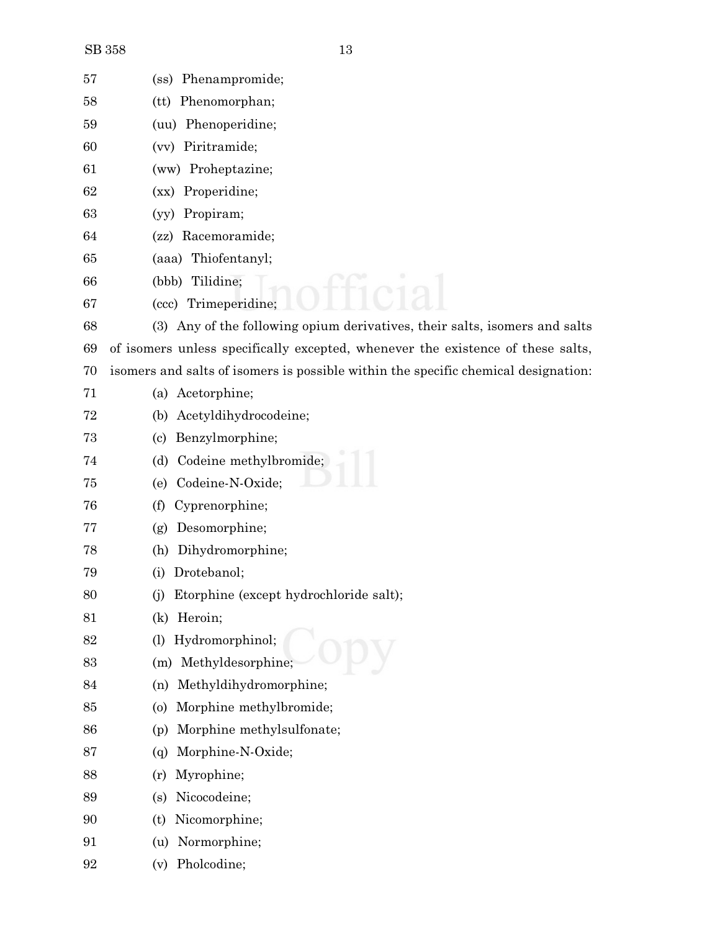| 57 | (ss) Phenampromide;                                                                |
|----|------------------------------------------------------------------------------------|
| 58 | (tt) Phenomorphan;                                                                 |
| 59 | (uu) Phenoperidine;                                                                |
| 60 | Piritramide;<br>(vv)                                                               |
| 61 | (ww) Proheptazine;                                                                 |
| 62 | (xx) Properidine;                                                                  |
| 63 | Propiram;<br>(vv)                                                                  |
| 64 | (zz) Racemoramide;                                                                 |
| 65 | (aaa) Thiofentanyl;                                                                |
| 66 | Tilidine;<br>(bbb)                                                                 |
| 67 | (ccc) Trimeperidine;                                                               |
| 68 | (3) Any of the following opium derivatives, their salts, isomers and salts         |
| 69 | of isomers unless specifically excepted, whenever the existence of these salts,    |
| 70 | isomers and salts of isomers is possible within the specific chemical designation: |
| 71 | (a) Acetorphine;                                                                   |
| 72 | Acetyldihydrocodeine;<br>(b)                                                       |
| 73 | Benzylmorphine;<br>(c)                                                             |
| 74 | Codeine methylbromide;<br>(d)                                                      |
| 75 | Codeine-N-Oxide;<br>(e)                                                            |
| 76 | Cyprenorphine;<br>(f)                                                              |
| 77 | Desomorphine;<br>(g)                                                               |
| 78 | Dihydromorphine;<br>(h)                                                            |
| 79 | Drotebanol;<br>(i)                                                                 |
| 80 | (j) Etorphine (except hydrochloride salt);                                         |
| 81 | Heroin;<br>(k)                                                                     |
| 82 | Hydromorphinol;<br>(1)                                                             |
| 83 | Methyldesorphine;<br>(m)                                                           |
| 84 | Methyldihydromorphine;<br>(n)                                                      |
| 85 | Morphine methylbromide;<br>$\circ$                                                 |
| 86 | Morphine methylsulfonate;<br>(p)                                                   |
| 87 | Morphine-N-Oxide;<br>(q)                                                           |
| 88 | Myrophine;<br>(r)                                                                  |
| 89 | Nicocodeine;<br>(s)                                                                |
| 90 | Nicomorphine;<br>(t)                                                               |
| 91 | Normorphine;<br>(u)                                                                |
| 92 | Pholcodine;<br>(v)                                                                 |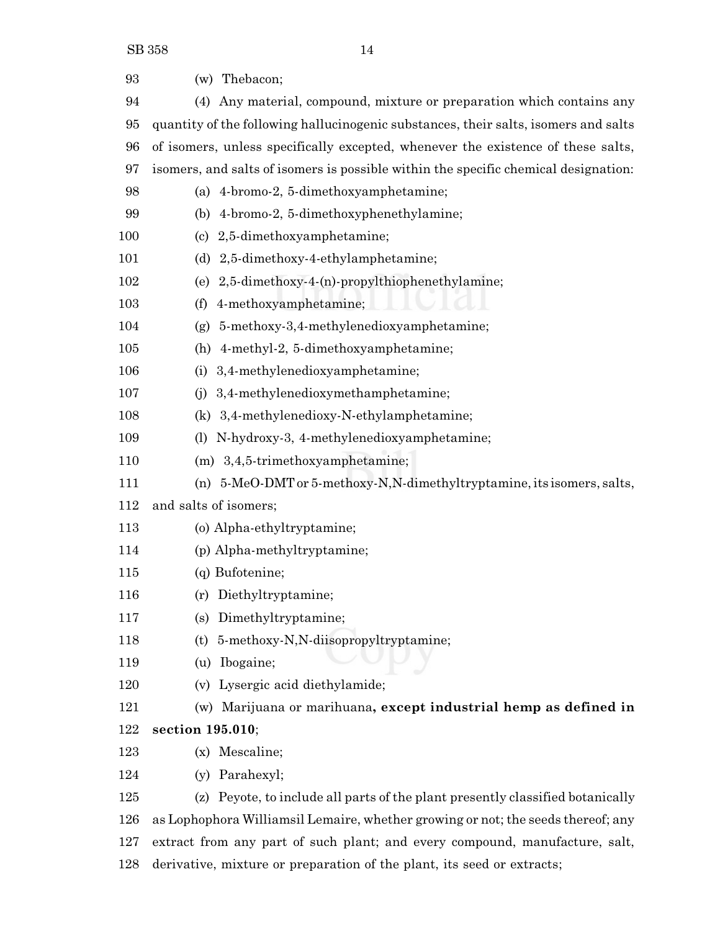| 93  | (w) Thebacon;                                                                       |
|-----|-------------------------------------------------------------------------------------|
| 94  | (4) Any material, compound, mixture or preparation which contains any               |
| 95  | quantity of the following hallucinogenic substances, their salts, isomers and salts |
| 96  | of isomers, unless specifically excepted, whenever the existence of these salts,    |
| 97  |                                                                                     |
|     | isomers, and salts of isomers is possible within the specific chemical designation: |
| 98  | (a) 4-bromo-2, 5-dimethoxyamphetamine;                                              |
| 99  | (b) 4-bromo-2, 5-dimethoxyphenethylamine;                                           |
| 100 | (c) 2,5-dimethoxyamphetamine;                                                       |
| 101 | (d) 2,5-dimethoxy-4-ethylamphetamine;                                               |
| 102 | 2,5-dimethoxy-4-(n)-propylthiophenethylamine;<br>(e)                                |
| 103 | 4-methoxyamphetamine;<br>(f)                                                        |
| 104 | (g) $5$ -methoxy-3,4-methylenedioxyamphetamine;                                     |
| 105 | 4-methyl-2, 5-dimethoxyamphetamine;<br>(h)                                          |
| 106 | 3,4-methylenedioxyamphetamine;<br>(i)                                               |
| 107 | 3,4-methylenedioxymethamphetamine;<br>(i)                                           |
| 108 | (k) 3,4-methylenedioxy-N-ethylamphetamine;                                          |
| 109 | N-hydroxy-3, 4-methylenedioxyamphetamine;<br>(1)                                    |
| 110 | $(m)$ 3,4,5-trimethoxyamphetamine;                                                  |
| 111 | (n) $5-MeO-DMT$ or $5-meth$ oxy-N,N-dimethyltryptamine, its isomers, salts,         |
| 112 | and salts of isomers;                                                               |
| 113 | (o) Alpha-ethyltryptamine;                                                          |
| 114 | (p) Alpha-methyltryptamine;                                                         |
| 115 | (q) Bufotenine;                                                                     |
| 116 | Diethyltryptamine;<br>(r)                                                           |
| 117 | Dimethyltryptamine;<br>(s)                                                          |
| 118 | 5-methoxy-N,N-diisopropyltryptamine;<br>(t)                                         |
| 119 | Ibogaine;<br>(u)                                                                    |
| 120 | (v) Lysergic acid diethylamide;                                                     |
| 121 | (w) Marijuana or marihuana, except industrial hemp as defined in                    |
| 122 | section 195.010;                                                                    |
| 123 | (x) Mescaline;                                                                      |
| 124 | (y) Parahexyl;                                                                      |
| 125 | (z) Peyote, to include all parts of the plant presently classified botanically      |
| 126 | as Lophophora Williamsil Lemaire, whether growing or not; the seeds thereof; any    |
| 127 | extract from any part of such plant; and every compound, manufacture, salt,         |

derivative, mixture or preparation of the plant, its seed or extracts;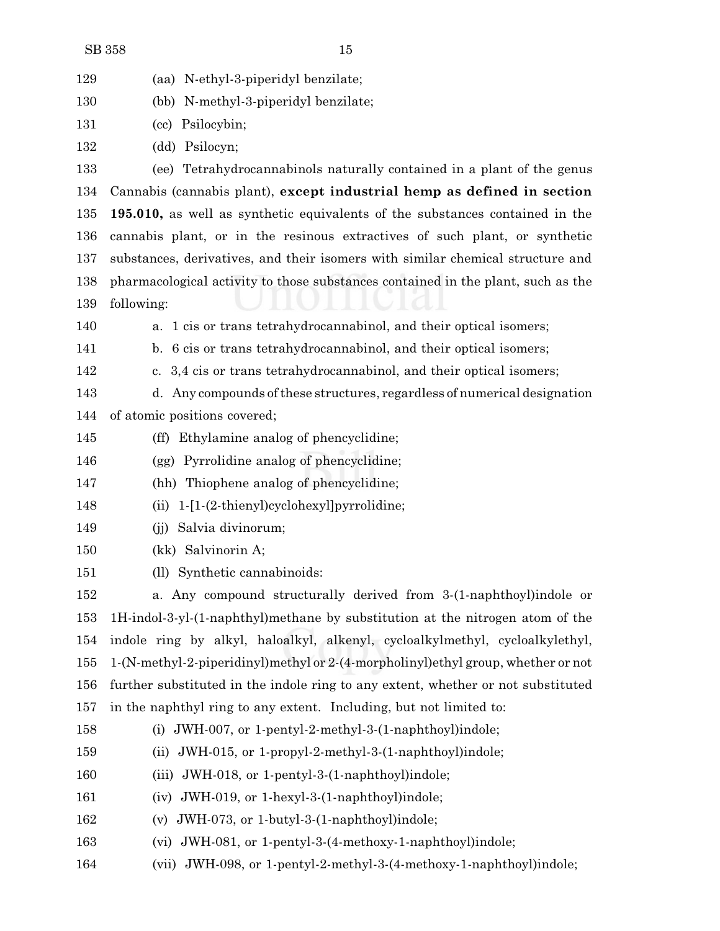| 129 | (aa) N-ethyl-3-piperidyl benzilate;                                              |
|-----|----------------------------------------------------------------------------------|
| 130 | (bb) N-methyl-3-piperidyl benzilate;                                             |
| 131 | (cc) Psilocybin;                                                                 |
| 132 | (dd) Psilocyn;                                                                   |
| 133 | (ee) Tetrahydrocannabinols naturally contained in a plant of the genus           |
| 134 | Cannabis (cannabis plant), except industrial hemp as defined in section          |
| 135 | 195.010, as well as synthetic equivalents of the substances contained in the     |
| 136 | cannabis plant, or in the resinous extractives of such plant, or synthetic       |
| 137 | substances, derivatives, and their isomers with similar chemical structure and   |
| 138 | pharmacological activity to those substances contained in the plant, such as the |
| 139 | following:                                                                       |
| 140 | a. 1 cis or trans tetrahydrocannabinol, and their optical isomers;               |
| 141 | b. 6 cis or trans tetrahydrocannabinol, and their optical isomers;               |
| 142 | c. 3,4 cis or trans tetrahydrocannabinol, and their optical isomers;             |
| 143 | d. Any compounds of these structures, regardless of numerical designation        |
| 144 | of atomic positions covered;                                                     |
| 145 | (ff) Ethylamine analog of phencyclidine;                                         |
| 146 | (gg) Pyrrolidine analog of phencyclidine;                                        |
| 147 | (hh) Thiophene analog of phencyclidine;                                          |
| 148 | 1-[1-(2-thienyl)cyclohexyl]pyrrolidine;<br>(i)                                   |
| 149 | Salvia divinorum;<br>(i)                                                         |
| 150 | (kk) Salvinorin A;                                                               |
| 151 | (ll) Synthetic cannabinoids:                                                     |
| 152 | a. Any compound structurally derived from 3-(1-naphthoyl)indole or               |
| 153 | 1H-indol-3-yl-(1-naphthyl)methane by substitution at the nitrogen atom of the    |
| 154 | indole ring by alkyl, haloalkyl, alkenyl, cycloalkylmethyl, cycloalkylethyl,     |
| 155 | 1-(N-methyl-2-piperidinyl)methyl or 2-(4-morpholinyl)ethyl group, whether or not |
| 156 | further substituted in the indole ring to any extent, whether or not substituted |
| 157 | in the naphthyl ring to any extent. Including, but not limited to:               |
| 158 | (i) JWH-007, or 1-pentyl-2-methyl-3- $(1$ -naphthoyl)indole;                     |
| 159 | JWH-015, or 1-propyl-2-methyl-3-(1-naphthoyl)indole;<br>(ii)                     |
| 160 | (iii) JWH-018, or 1-pentyl-3- $(1$ -naphthoyl)indole;                            |
| 161 | (iv) JWH-019, or 1-hexyl-3-(1-naphthoyl)indole;                                  |
| 162 | (v) JWH-073, or 1-butyl-3- $(1$ -naphthoyl)indole;                               |

- (vi) JWH-081, or 1-pentyl-3-(4-methoxy-1-naphthoyl)indole;
- (vii) JWH-098, or 1-pentyl-2-methyl-3-(4-methoxy-1-naphthoyl)indole;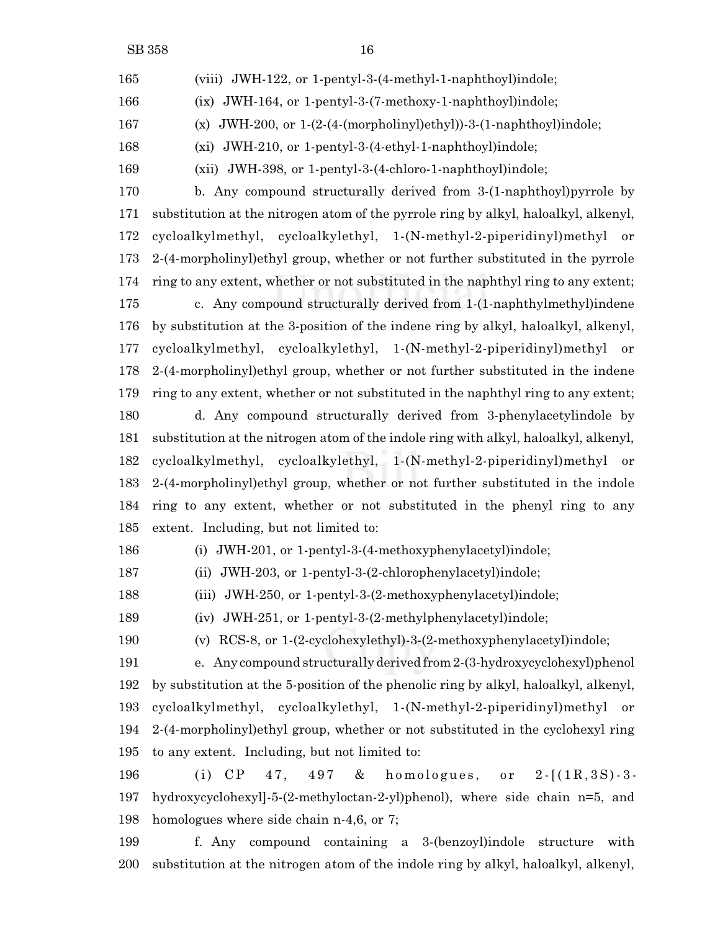(viii) JWH-122, or 1-pentyl-3-(4-methyl-1-naphthoyl)indole; (ix) JWH-164, or 1-pentyl-3-(7-methoxy-1-naphthoyl)indole; (x) JWH-200, or 1-(2-(4-(morpholinyl)ethyl))-3-(1-naphthoyl)indole; (xi) JWH-210, or 1-pentyl-3-(4-ethyl-1-naphthoyl)indole;

(xii) JWH-398, or 1-pentyl-3-(4-chloro-1-naphthoyl)indole;

 b. Any compound structurally derived from 3-(1-naphthoyl)pyrrole by substitution at the nitrogen atom of the pyrrole ring by alkyl, haloalkyl, alkenyl, cycloalkylmethyl, cycloalkylethyl, 1-(N-methyl-2-piperidinyl)methyl or 2-(4-morpholinyl)ethyl group, whether or not further substituted in the pyrrole ring to any extent, whether or not substituted in the naphthyl ring to any extent; c. Any compound structurally derived from 1-(1-naphthylmethyl)indene by substitution at the 3-position of the indene ring by alkyl, haloalkyl, alkenyl, cycloalkylmethyl, cycloalkylethyl, 1-(N-methyl-2-piperidinyl)methyl or 2-(4-morpholinyl)ethyl group, whether or not further substituted in the indene ring to any extent, whether or not substituted in the naphthyl ring to any extent; d. Any compound structurally derived from 3-phenylacetylindole by substitution at the nitrogen atom of the indole ring with alkyl, haloalkyl, alkenyl, cycloalkylmethyl, cycloalkylethyl, 1-(N-methyl-2-piperidinyl)methyl or 2-(4-morpholinyl)ethyl group, whether or not further substituted in the indole ring to any extent, whether or not substituted in the phenyl ring to any extent. Including, but not limited to:

(i) JWH-201, or 1-pentyl-3-(4-methoxyphenylacetyl)indole;

(ii) JWH-203, or 1-pentyl-3-(2-chlorophenylacetyl)indole;

(iii) JWH-250, or 1-pentyl-3-(2-methoxyphenylacetyl)indole;

(iv) JWH-251, or 1-pentyl-3-(2-methylphenylacetyl)indole;

(v) RCS-8, or 1-(2-cyclohexylethyl)-3-(2-methoxyphenylacetyl)indole;

 e. Any compound structurally derived from2-(3-hydroxycyclohexyl)phenol by substitution at the 5-position of the phenolic ring by alkyl, haloalkyl, alkenyl, cycloalkylmethyl, cycloalkylethyl, 1-(N-methyl-2-piperidinyl)methyl or 2-(4-morpholinyl)ethyl group, whether or not substituted in the cyclohexyl ring to any extent. Including, but not limited to:

196 (i) CP ,  $497$  & homologues, or  $2 \cdot [(1R,3S) - 3 -$  hydroxycyclohexyl]-5-(2-methyloctan-2-yl)phenol), where side chain n=5, and homologues where side chain n-4,6, or 7;

 f. Any compound containing a 3-(benzoyl)indole structure with substitution at the nitrogen atom of the indole ring by alkyl, haloalkyl, alkenyl,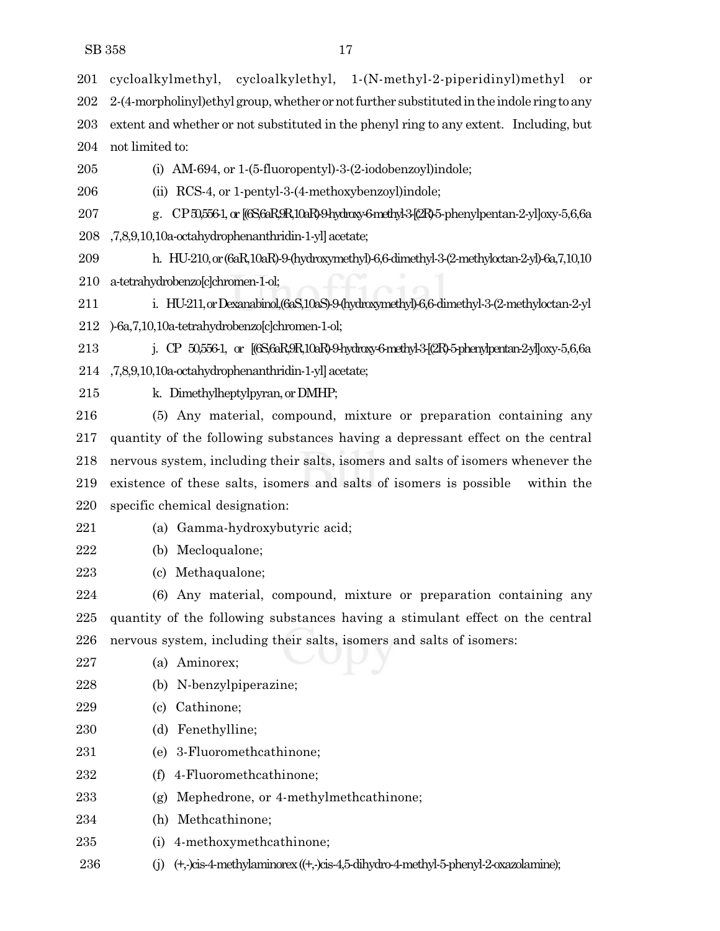cycloalkylmethyl, cycloalkylethyl, 1-(N-methyl-2-piperidinyl)methyl or 202 2-(4-morpholinyl)ethyl group, whether or not further substituted in the indole ring to any extent and whether or not substituted in the phenyl ring to any extent. Including, but not limited to:

(i) AM-694, or 1-(5-fluoropentyl)-3-(2-iodobenzoyl)indole;

(ii) RCS-4, or 1-pentyl-3-(4-methoxybenzoyl)indole;

 g. CP50,556-1, or [(6S,6aR,9R,10aR)-9-hydroxy-6-methyl-3-[(2R)-5-phenylpentan-2-yl]oxy-5,6,6a ,7,8,9,10,10a-octahydrophenanthridin-1-yl]acetate;

 h. HU-210,or(6aR,10aR)-9-(hydroxymethyl)-6,6-dimethyl-3-(2-methyloctan-2-yl)-6a,7,10,10 a-tetrahydrobenzo[c]chromen-1-ol;

 i. HU-211,orDexanabinol,(6aS,10aS)-9-(hydroxymethyl)-6,6-dimethyl-3-(2-methyloctan-2-yl )-6a,7,10,10a-tetrahydrobenzo[c]chromen-1-ol;

 j. CP 50,556-1, or [(6S,6aR,9R,10aR)-9-hydroxy-6-methyl-3-[(2R)-5-phenylpentan-2-yl]oxy-5,6,6a ,7,8,9,10,10a-octahydrophenanthridin-1-yl]acetate;

215 k. Dimethylheptylpyran, or DMHP;

 (5) Any material, compound, mixture or preparation containing any quantity of the following substances having a depressant effect on the central nervous system, including their salts, isomers and salts of isomers whenever the existence of these salts, isomers and salts of isomers is possible within the specific chemical designation:

- (a) Gamma-hydroxybutyric acid;
- (b) Mecloqualone;

(c) Methaqualone;

 (6) Any material, compound, mixture or preparation containing any quantity of the following substances having a stimulant effect on the central nervous system, including their salts, isomers and salts of isomers:

(a) Aminorex;

- (b) N-benzylpiperazine;
- (c) Cathinone;
- (d) Fenethylline;
- (e) 3-Fluoromethcathinone;
- (f) 4-Fluoromethcathinone;
- (g) Mephedrone, or 4-methylmethcathinone;
- (h) Methcathinone;
- (i) 4-methoxymethcathinone;
- (j) (+,-)cis-4-methylaminorex((+,-)cis-4,5-dihydro-4-methyl-5-phenyl-2-oxazolamine);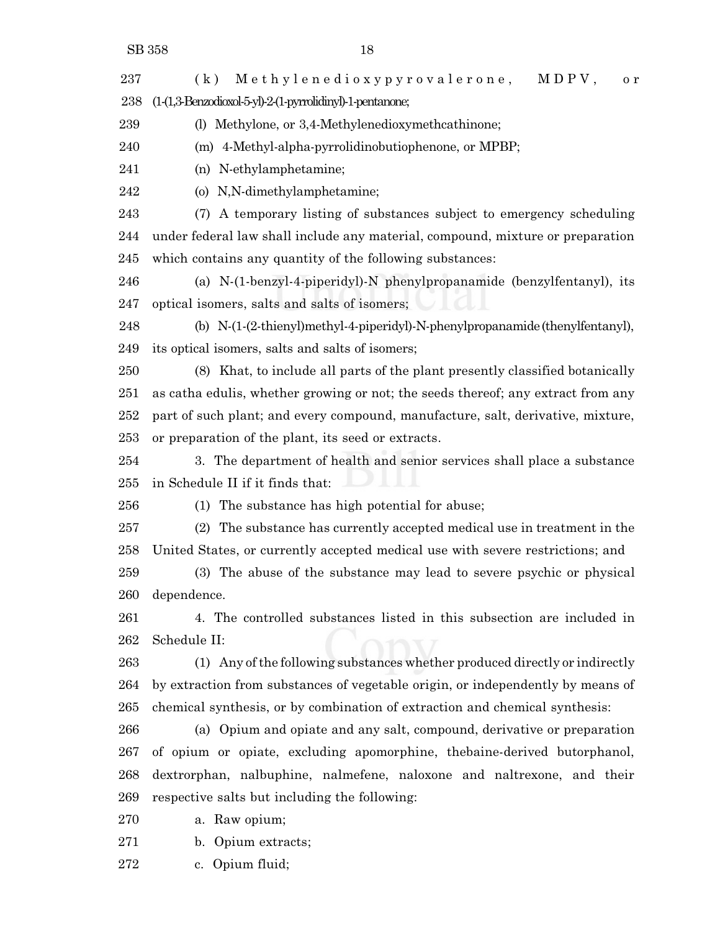237 (k) Methylenedioxypyrovalerone, MDPV, or (1-(1,3-Benzodioxol-5-yl)-2-(1-pyrrolidinyl)-1-pentanone; (l) Methylone, or 3,4-Methylenedioxymethcathinone; (m) 4-Methyl-alpha-pyrrolidinobutiophenone, or MPBP;

(n) N-ethylamphetamine;

(o) N,N-dimethylamphetamine;

 (7) A temporary listing of substances subject to emergency scheduling under federal law shall include any material, compound, mixture or preparation which contains any quantity of the following substances:

 (a) N-(1-benzyl-4-piperidyl)-N phenylpropanamide (benzylfentanyl), its optical isomers, salts and salts of isomers;

 (b) N-(1-(2-thienyl)methyl-4-piperidyl)-N-phenylpropanamide(thenylfentanyl), its optical isomers, salts and salts of isomers;

 (8) Khat, to include all parts of the plant presently classified botanically as catha edulis, whether growing or not; the seeds thereof; any extract from any part of such plant; and every compound, manufacture, salt, derivative, mixture, or preparation of the plant, its seed or extracts.

 3. The department of health and senior services shall place a substance in Schedule II if it finds that:

(1) The substance has high potential for abuse;

 (2) The substance has currently accepted medical use in treatment in the United States, or currently accepted medical use with severe restrictions; and

 (3) The abuse of the substance may lead to severe psychic or physical dependence.

 4. The controlled substances listed in this subsection are included in Schedule II:

 (1) Any ofthe following substances whether produced directly or indirectly by extraction from substances of vegetable origin, or independently by means of chemical synthesis, or by combination of extraction and chemical synthesis:

 (a) Opium and opiate and any salt, compound, derivative or preparation of opium or opiate, excluding apomorphine, thebaine-derived butorphanol, dextrorphan, nalbuphine, nalmefene, naloxone and naltrexone, and their respective salts but including the following:

a. Raw opium;

b. Opium extracts;

c. Opium fluid;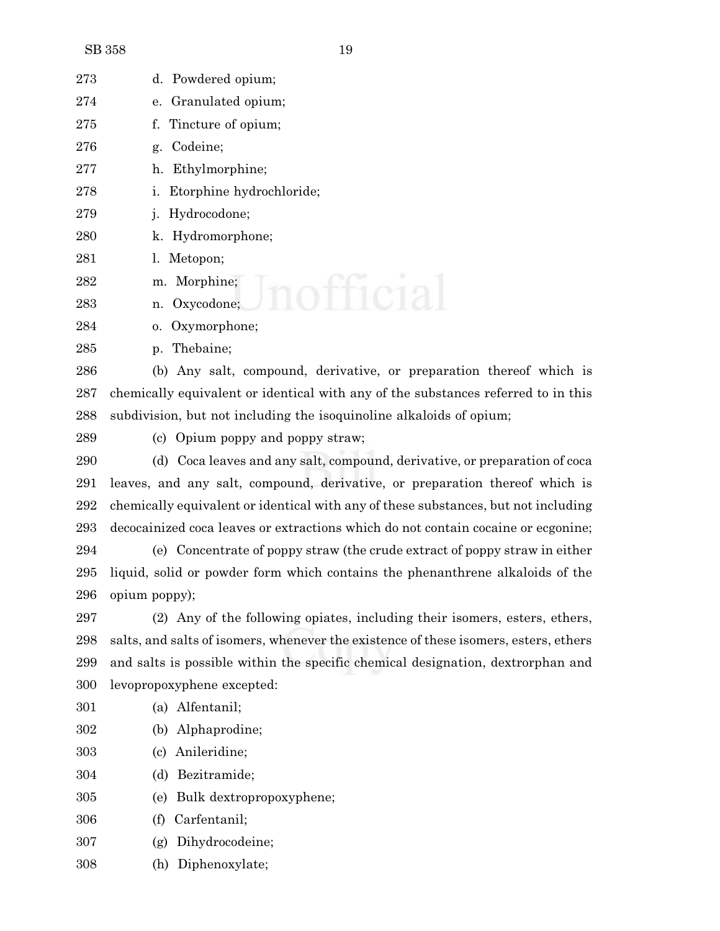| 273 | d. Powdered opium;                                                                |
|-----|-----------------------------------------------------------------------------------|
| 274 | e. Granulated opium;                                                              |
| 275 | f. Tincture of opium;                                                             |
| 276 | Codeine;<br>g.                                                                    |
| 277 | h. Ethylmorphine;                                                                 |
| 278 | <i>i.</i> Etorphine hydrochloride;                                                |
| 279 | Hydrocodone;                                                                      |
| 280 | k. Hydromorphone;                                                                 |
| 281 | l. Metopon;                                                                       |
| 282 | m. Morphine;                                                                      |
| 283 | n. Oxycodone;                                                                     |
| 284 | o. Oxymorphone;                                                                   |
| 285 | p. Thebaine;                                                                      |
| 286 | (b) Any salt, compound, derivative, or preparation thereof which is               |
| 287 | chemically equivalent or identical with any of the substances referred to in this |

subdivision, but not including the isoquinoline alkaloids of opium;

(c) Opium poppy and poppy straw;

 (d) Coca leaves and any salt, compound, derivative, or preparation of coca leaves, and any salt, compound, derivative, or preparation thereof which is chemically equivalent or identical with any of these substances, but not including decocainized coca leaves or extractions which do not contain cocaine or ecgonine;

 (e) Concentrate of poppy straw (the crude extract of poppy straw in either liquid, solid or powder form which contains the phenanthrene alkaloids of the opium poppy);

 (2) Any of the following opiates, including their isomers, esters, ethers, salts, and salts of isomers, whenever the existence of these isomers, esters, ethers and salts is possible within the specific chemical designation, dextrorphan and levopropoxyphene excepted:

- (a) Alfentanil;
- (b) Alphaprodine;
- (c) Anileridine;
- (d) Bezitramide;
- (e) Bulk dextropropoxyphene;
- (f) Carfentanil;
- (g) Dihydrocodeine;
- (h) Diphenoxylate;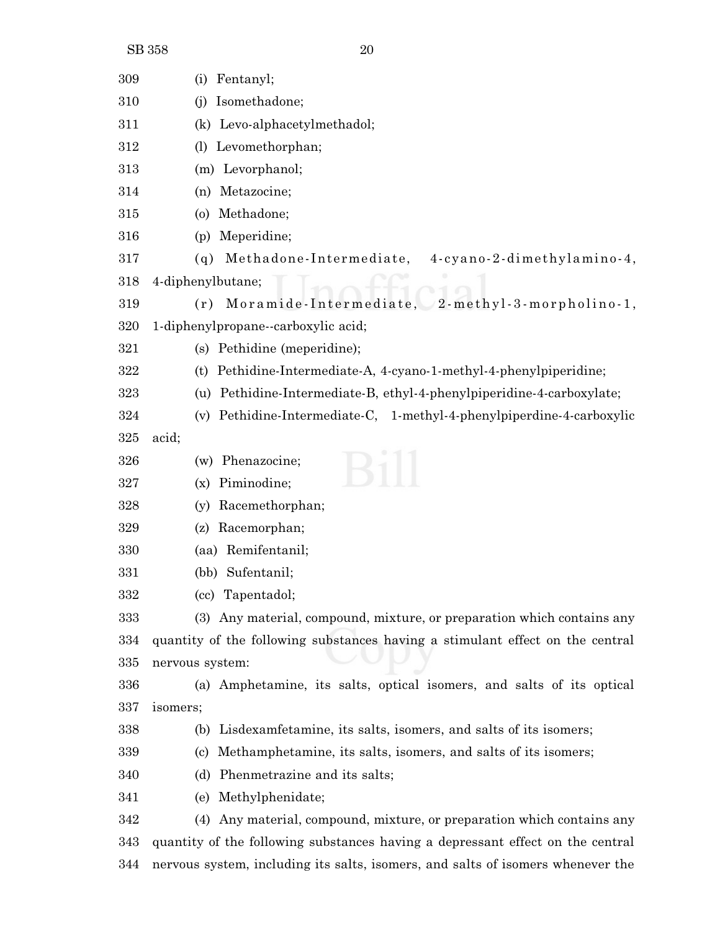| 309      | Fentanyl;<br>(i)                                                                |
|----------|---------------------------------------------------------------------------------|
| 310      | Isomethadone;<br>(i)                                                            |
| 311      | Levo-alphacetylmethadol;<br>(k)                                                 |
| $^{312}$ | Levomethorphan;<br>(1)                                                          |
| 313      | (m) Levorphanol;                                                                |
| 314      | Metazocine;<br>(n)                                                              |
| 315      | Methadone;<br>$\circ$                                                           |
| 316      | Meperidine;<br>(p)                                                              |
| 317      | Methadone-Intermediate,<br>4-cyano-2-dimethylamino-4,<br>(q)                    |
| 318      | 4-diphenylbutane;                                                               |
| 319      | Moramide-Intermediate, 2-methyl-3-morpholino-1,<br>(r)                          |
| 320      | 1-diphenylpropane--carboxylic acid;                                             |
| 321      | (s) Pethidine (meperidine);                                                     |
| $322\,$  | Pethidine-Intermediate-A, 4-cyano-1-methyl-4-phenylpiperidine;<br>(t)           |
| $323\,$  | Pethidine-Intermediate-B, ethyl-4-phenylpiperidine-4-carboxylate;<br>(u)        |
| 324      | Pethidine-Intermediate-C, 1-methyl-4-phenylpiperdine-4-carboxylic<br>(v)        |
| 325      | acid;                                                                           |
| 326      | Phenazocine;<br>(w)                                                             |
| 327      | Piminodine;<br>(x)                                                              |
| 328      | Racemethorphan;<br>(v)                                                          |
| 329      | Racemorphan;<br>(z)                                                             |
| 330      | (aa) Remifentanil;                                                              |
| 331      | (bb) Sufentanil;                                                                |
| 332      | (cc) Tapentadol;                                                                |
| 333      | (3) Any material, compound, mixture, or preparation which contains any          |
| 334      | quantity of the following substances having a stimulant effect on the central   |
| 335      | nervous system:                                                                 |
| 336      | (a) Amphetamine, its salts, optical isomers, and salts of its optical           |
| 337      | isomers;                                                                        |
| 338      | Lisdexamfetamine, its salts, isomers, and salts of its isomers;<br>(b)          |
| 339      | Methamphetamine, its salts, isomers, and salts of its isomers;<br>(c)           |
| 340      | Phenmetrazine and its salts;<br>(d)                                             |
| 341      | Methylphenidate;<br>(e)                                                         |
| 342      | (4) Any material, compound, mixture, or preparation which contains any          |
| 343      | quantity of the following substances having a depressant effect on the central  |
| 344      | nervous system, including its salts, isomers, and salts of isomers whenever the |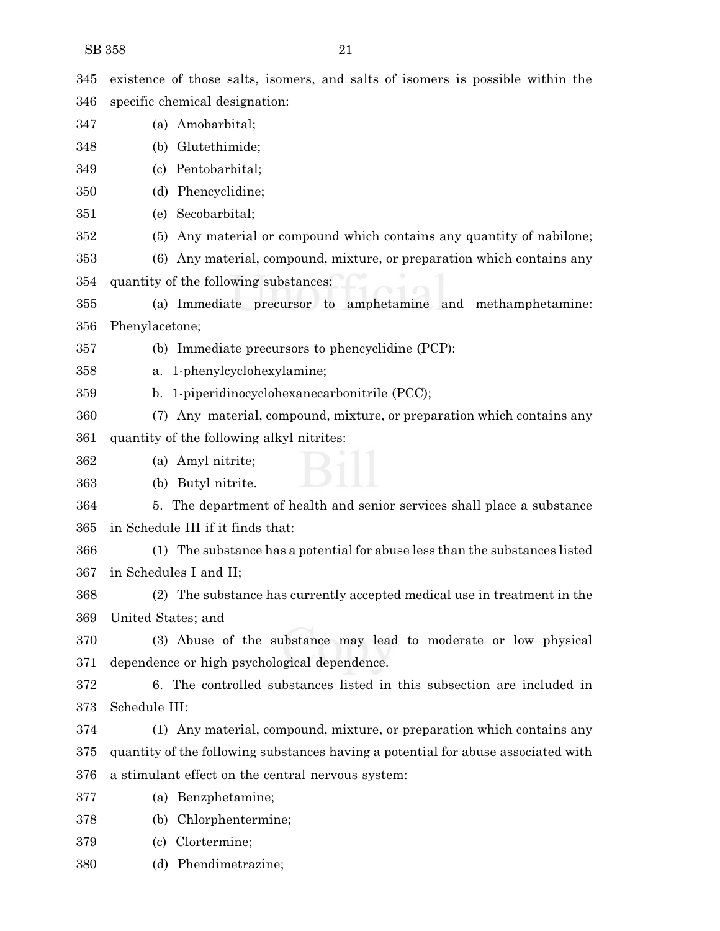| 345 | existence of those salts, isomers, and salts of isomers is possible within the    |
|-----|-----------------------------------------------------------------------------------|
| 346 | specific chemical designation:                                                    |
| 347 | (a) Amobarbital;                                                                  |
| 348 | (b) Glutethimide;                                                                 |
| 349 | (c) Pentobarbital;                                                                |
| 350 | (d) Phencyclidine;                                                                |
| 351 | (e) Secobarbital;                                                                 |
| 352 | Any material or compound which contains any quantity of nabilone;<br>(5)          |
| 353 | (6) Any material, compound, mixture, or preparation which contains any            |
| 354 | quantity of the following substances:                                             |
| 355 | (a) Immediate precursor to amphetamine and methamphetamine:                       |
| 356 | Phenylacetone;                                                                    |
| 357 | (b) Immediate precursors to phencyclidine (PCP):                                  |
| 358 | a. 1-phenylcyclohexylamine;                                                       |
| 359 | b. 1-piperidinocyclohexanecarbonitrile (PCC);                                     |
| 360 | (7) Any material, compound, mixture, or preparation which contains any            |
| 361 | quantity of the following alkyl nitrites:                                         |
| 362 | (a) Amyl nitrite;                                                                 |
| 363 | (b) Butyl nitrite.                                                                |
| 364 | 5. The department of health and senior services shall place a substance           |
| 365 | in Schedule III if it finds that:                                                 |
| 366 | (1) The substance has a potential for abuse less than the substances listed       |
| 367 | in Schedules I and II;                                                            |
| 368 | (2) The substance has currently accepted medical use in treatment in the          |
| 369 | United States; and                                                                |
| 370 | (3) Abuse of the substance may lead to moderate or low physical                   |
| 371 | dependence or high psychological dependence.                                      |
| 372 | 6. The controlled substances listed in this subsection are included in            |
| 373 | Schedule III:                                                                     |
| 374 | (1) Any material, compound, mixture, or preparation which contains any            |
| 375 | quantity of the following substances having a potential for abuse associated with |
| 376 | a stimulant effect on the central nervous system:                                 |
| 377 | (a) Benzphetamine;                                                                |
| 378 | Chlorphentermine;<br>(b)                                                          |
| 379 | Clortermine;<br>(c)                                                               |
| 380 | (d) Phendimetrazine;                                                              |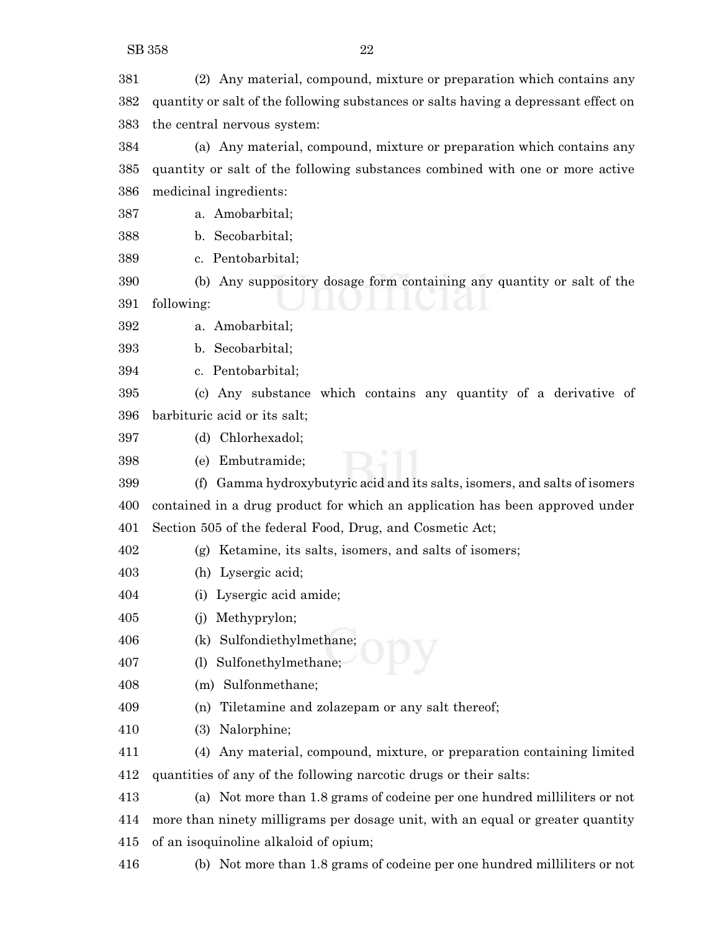(2) Any material, compound, mixture or preparation which contains any quantity or salt of the following substances or salts having a depressant effect on the central nervous system:

 (a) Any material, compound, mixture or preparation which contains any quantity or salt of the following substances combined with one or more active medicinal ingredients:

a. Amobarbital;

b. Secobarbital;

c. Pentobarbital;

 (b) Any suppository dosage form containing any quantity or salt of the following:

a. Amobarbital;

b. Secobarbital;

c. Pentobarbital;

 (c) Any substance which contains any quantity of a derivative of barbituric acid or its salt;

(d) Chlorhexadol;

(e) Embutramide;

 (f) Gamma hydroxybutyric acid and its salts, isomers, and salts of isomers contained in a drug product for which an application has been approved under Section 505 of the federal Food, Drug, and Cosmetic Act;

(g) Ketamine, its salts, isomers, and salts of isomers;

(h) Lysergic acid;

(i) Lysergic acid amide;

(j) Methyprylon;

(k) Sulfondiethylmethane;

(l) Sulfonethylmethane;

(m) Sulfonmethane;

(n) Tiletamine and zolazepam or any salt thereof;

(3) Nalorphine;

 (4) Any material, compound, mixture, or preparation containing limited quantities of any of the following narcotic drugs or their salts:

 (a) Not more than 1.8 grams of codeine per one hundred milliliters or not more than ninety milligrams per dosage unit, with an equal or greater quantity of an isoquinoline alkaloid of opium;

(b) Not more than 1.8 grams of codeine per one hundred milliliters or not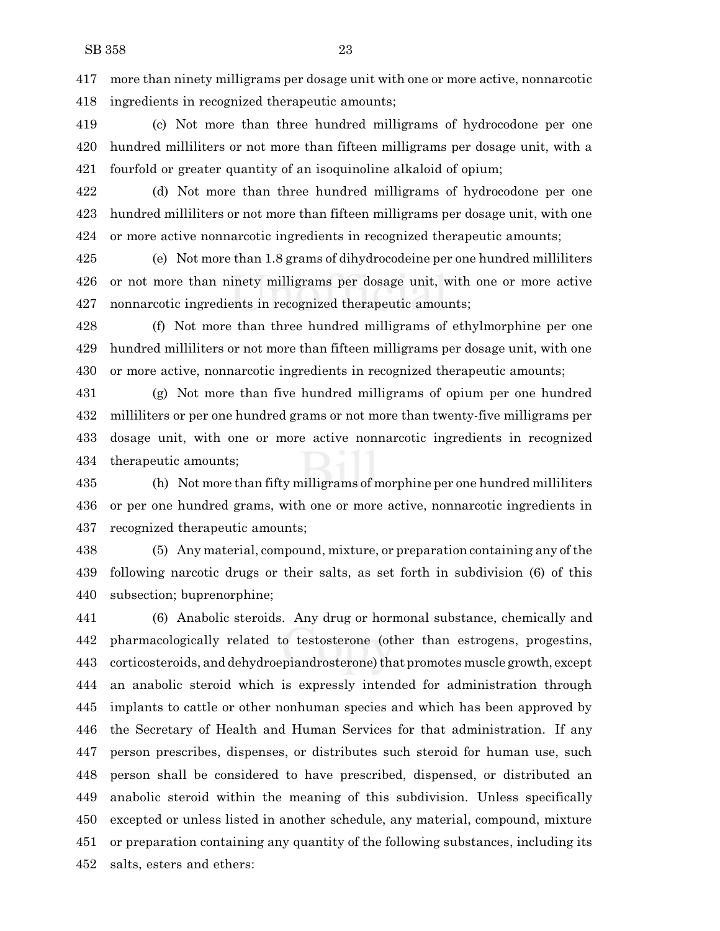more than ninety milligrams per dosage unit with one or more active, nonnarcotic ingredients in recognized therapeutic amounts;

 (c) Not more than three hundred milligrams of hydrocodone per one hundred milliliters or not more than fifteen milligrams per dosage unit, with a fourfold or greater quantity of an isoquinoline alkaloid of opium;

 (d) Not more than three hundred milligrams of hydrocodone per one hundred milliliters or not more than fifteen milligrams per dosage unit, with one or more active nonnarcotic ingredients in recognized therapeutic amounts;

 (e) Not more than 1.8 grams of dihydrocodeine per one hundred milliliters or not more than ninety milligrams per dosage unit, with one or more active nonnarcotic ingredients in recognized therapeutic amounts;

 (f) Not more than three hundred milligrams of ethylmorphine per one hundred milliliters or not more than fifteen milligrams per dosage unit, with one or more active, nonnarcotic ingredients in recognized therapeutic amounts;

 (g) Not more than five hundred milligrams of opium per one hundred milliliters or per one hundred grams or not more than twenty-five milligrams per dosage unit, with one or more active nonnarcotic ingredients in recognized therapeutic amounts;

 (h) Not more than fifty milligrams of morphine per one hundred milliliters or per one hundred grams, with one or more active, nonnarcotic ingredients in recognized therapeutic amounts;

 (5) Any material, compound, mixture, or preparation containing any ofthe following narcotic drugs or their salts, as set forth in subdivision (6) of this subsection; buprenorphine;

 (6) Anabolic steroids. Any drug or hormonal substance, chemically and pharmacologically related to testosterone (other than estrogens, progestins, 443 corticosteroids, and dehydroepiandrosterone) that promotes muscle growth, except an anabolic steroid which is expressly intended for administration through implants to cattle or other nonhuman species and which has been approved by the Secretary of Health and Human Services for that administration. If any person prescribes, dispenses, or distributes such steroid for human use, such person shall be considered to have prescribed, dispensed, or distributed an anabolic steroid within the meaning of this subdivision. Unless specifically excepted or unless listed in another schedule, any material, compound, mixture or preparation containing any quantity of the following substances, including its salts, esters and ethers: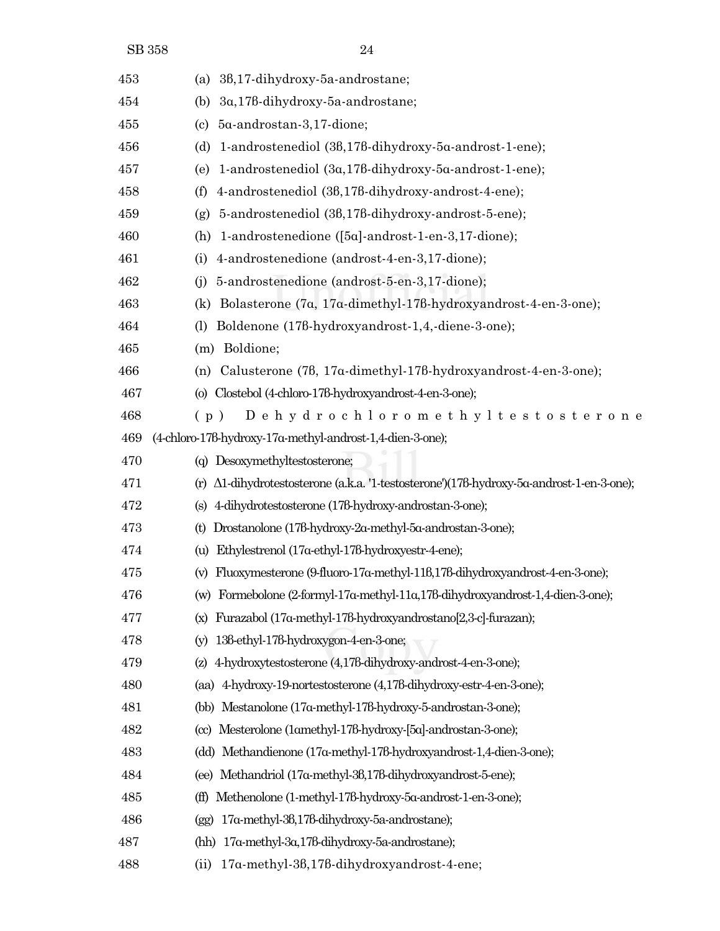| 453 | (a) $36,17$ -dihydroxy-5a-androstane;                                                               |
|-----|-----------------------------------------------------------------------------------------------------|
| 454 | 3a, 178-dihydroxy-5a-androstane;<br>(b)                                                             |
| 455 | 5α-androstan-3,17-dione;<br>(c)                                                                     |
| 456 | 1-androstenediol (36,176-dihydroxy-5a-androst-1-ene);<br>(d)                                        |
| 457 | 1-androstenediol (3a,178-dihydroxy-5a-androst-1-ene);<br>(e)                                        |
| 458 | 4-androstenediol (36,176-dihydroxy-androst-4-ene);<br>(f)                                           |
| 459 | 5-androstenediol (38,178-dihydroxy-androst-5-ene);<br>(g)                                           |
| 460 | 1-androstenedione $([5\alpha]$ -androst-1-en-3,17-dione);<br>(h)                                    |
| 461 | 4-androstenedione (androst-4-en-3,17-dione);<br>(i)                                                 |
| 462 | 5-androstenedione (androst-5-en-3,17-dione);<br>(i)                                                 |
| 463 | Bolasterone (7a, 17a-dimethyl-178-hydroxyandrost-4-en-3-one);<br>(k)                                |
| 464 | Boldenone (178-hydroxyandrost-1,4,-diene-3-one);<br>(1)                                             |
| 465 | (m) Boldione;                                                                                       |
| 466 | Calusterone (78, 17a-dimethyl-178-hydroxyandrost-4-en-3-one);<br>(n)                                |
| 467 | (o) Clostebol (4-chloro-178-hydroxyandrost-4-en-3-one);                                             |
| 468 | Dehydrochloromethyltestosterone<br>(p)                                                              |
| 469 | (4-chloro-178-hydroxy-17a-methyl-androst-1,4-dien-3-one);                                           |
| 470 | (q) Desoxymethyltestosterone;                                                                       |
| 471 | $(r)$ $\Delta 1$ -dihydrotestosterone (a.k.a. '1-testosterone')(178-hydroxy-5a-androst-1-en-3-one); |
| 472 | (s) 4-dihydrotestosterone (178-hydroxy-androstan-3-one);                                            |
| 473 | Drostanolone (178-hydroxy-2a-methyl-5a-androstan-3-one);<br>(t)                                     |
| 474 | Ethylestrenol (17a-ethyl-178-hydroxyestr-4-ene);<br>(u)                                             |
| 475 | Fluoxymesterone (9-fluoro-17a-methyl-116,176-dihydroxyandrost-4-en-3-one);<br>(v)                   |
| 476 | (w) Formebolone (2-formyl-17a-methyl-11a,178-dihydroxyandrost-1,4-dien-3-one);                      |
| 477 | Furazabol (17a-methyl-178-hydroxyandrostano[2,3-c]-furazan);<br>(x)                                 |
| 478 | 138-ethyl-178-hydroxygon-4-en-3-one;<br>(y)                                                         |
| 479 | 4-hydroxytestosterone (4,178-dihydroxy-androst-4-en-3-one);<br>(z)                                  |
| 480 | (aa) 4-hydroxy-19-nortestosterone (4,178-dihydroxy-estr-4-en-3-one);                                |
| 481 | (bb) Mestanolone (17a-methyl-178-hydroxy-5-androstan-3-one);                                        |
| 482 | (cc) Mesterolone (1amethyl-176-hydroxy-[5a]-androstan-3-one);                                       |
| 483 | (dd) Methandienone (17a-methyl-178-hydroxyandrost-1,4-dien-3-one);                                  |
| 484 | Methandriol (17a-methyl-36,176-dihydroxyandrost-5-ene);<br>(ee)                                     |
| 485 | Methenolone (1-methyl-178-hydroxy-5a-androst-1-en-3-one);<br>(ff)                                   |
| 486 | 17a-methyl-36,176-dihydroxy-5a-androstane);<br>(gg)                                                 |
| 487 | 17α-methyl-3α,17β-dihydroxy-5a-androstane);<br>(hh)                                                 |
| 488 | 17α-methyl-3β,17β-dihydroxyandrost-4-ene;<br>(ii)                                                   |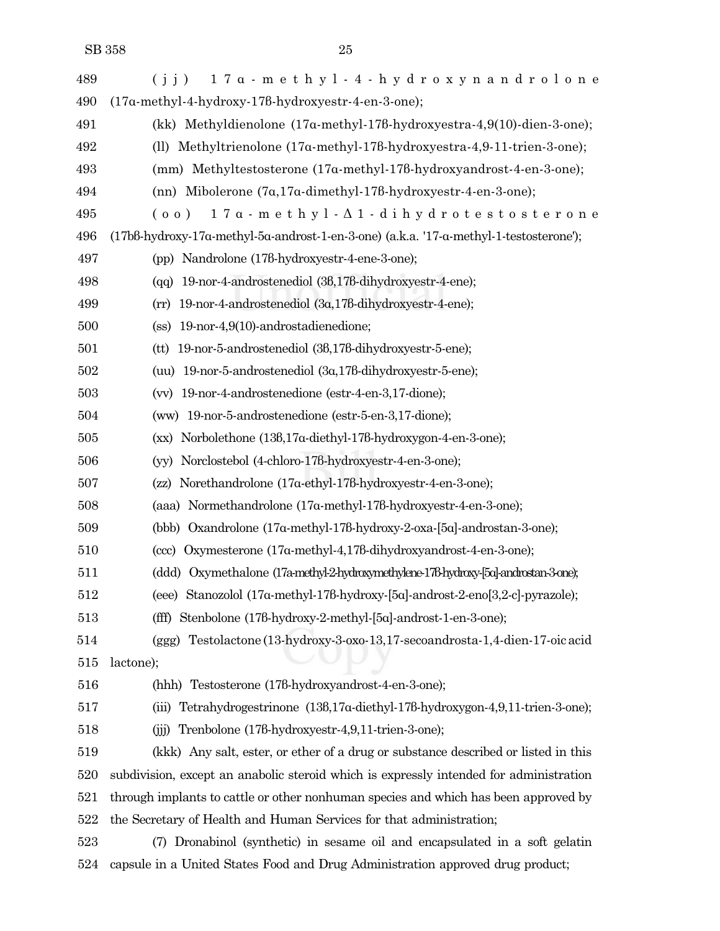| 489 | 17a - methyl-4-hydroxynandrolone<br>(i j)                                              |
|-----|----------------------------------------------------------------------------------------|
| 490 | (17a-methyl-4-hydroxy-178-hydroxyestr-4-en-3-one);                                     |
| 491 | (kk) Methyldienolone (17a-methyl-178-hydroxyestra-4,9(10)-dien-3-one);                 |
| 492 | (ll) Methyltrienolone $(17a$ -methyl-178-hydroxyestra-4,9-11-trien-3-one);             |
| 493 | (mm) Methyltestosterone $(17a$ -methyl-178-hydroxyandrost-4-en-3-one);                 |
| 494 | (nn) Mibolerone $(7\alpha, 17\alpha$ -dimethyl-178-hydroxyestr-4-en-3-one);            |
| 495 | $17a$ - methyl- $\Delta$ 1-dihydrotestosterone<br>(00)                                 |
| 496 | (17bß-hydroxy-17a-methyl-5a-androst-1-en-3-one) (a.k.a. '17-a-methyl-1-testosterone'); |
| 497 | (pp) Nandrolone (178-hydroxyestr-4-ene-3-one);                                         |
| 498 | 19-nor-4-androstenediol (38,176-dihydroxyestr-4-ene);<br>(qq)                          |
| 499 | 19-nor-4-androstenediol (3a,178-dihydroxyestr-4-ene);<br>(rr)                          |
| 500 | 19-nor-4,9(10)-androstadienedione;<br>(s <sub>s</sub> )                                |
| 501 | (tt) 19-nor-5-androstenediol (36,176-dihydroxyestr-5-ene);                             |
| 502 | (uu) $19$ -nor-5-androstenediol $(3\alpha, 17\beta$ -dihydroxyestr-5-ene);             |
| 503 | (vv) 19-nor-4-androstenedione (estr-4-en-3,17-dione);                                  |
| 504 | (ww) 19-nor-5-androstenedione (estr-5-en-3,17-dione);                                  |
| 505 | (xx) Norbolethone (136,17a-diethyl-176-hydroxygon-4-en-3-one);                         |
| 506 | (yy) Norclostebol (4-chloro-176-hydroxyestr-4-en-3-one);                               |
| 507 | (zz) Norethandrolone (17a-ethyl-178-hydroxyestr-4-en-3-one);                           |
| 508 | (aaa) Normethandrolone (17a-methyl-178-hydroxyestr-4-en-3-one);                        |
| 509 | (bbb) Oxandrolone (17a-methyl-178-hydroxy-2-oxa-[5a]-androstan-3-one);                 |
| 510 | (ccc) Oxymesterone (17a-methyl-4,178-dihydroxyandrost-4-en-3-one);                     |
| 511 | (ddd) Oxymethalone (17a-methyl-2-hydroxymethylene-178-hydroxy-[5a]-androstan-3-one);   |
| 512 | (eee) Stanozolol (17a-methyl-178-hydroxy-[5a]-androst-2-eno[3,2-c]-pyrazole);          |
| 513 | (fff) Stenbolone (178-hydroxy-2-methyl-[5a]-androst-1-en-3-one);                       |
| 514 | (ggg) Testolactone (13-hydroxy-3-oxo-13,17-secoandrosta-1,4-dien-17-oic acid           |
| 515 | lactone);                                                                              |
| 516 | (hhh) Testosterone (178-hydroxyandrost-4-en-3-one);                                    |
| 517 | Tetrahydrogestrinone (136,17a-diethyl-178-hydroxygon-4,9,11-trien-3-one);<br>(iii)     |
| 518 | Trenbolone (178-hydroxyestr-4,9,11-trien-3-one);<br>(iii)                              |
| 519 | (kkk) Any salt, ester, or ether of a drug or substance described or listed in this     |
| 520 | subdivision, except an anabolic steroid which is expressly intended for administration |
| 521 | through implants to cattle or other nonhuman species and which has been approved by    |
| 522 | the Secretary of Health and Human Services for that administration;                    |
| 523 | Dronabinol (synthetic) in sesame oil and encapsulated in a soft gelatin<br>(7)         |
| 524 | capsule in a United States Food and Drug Administration approved drug product;         |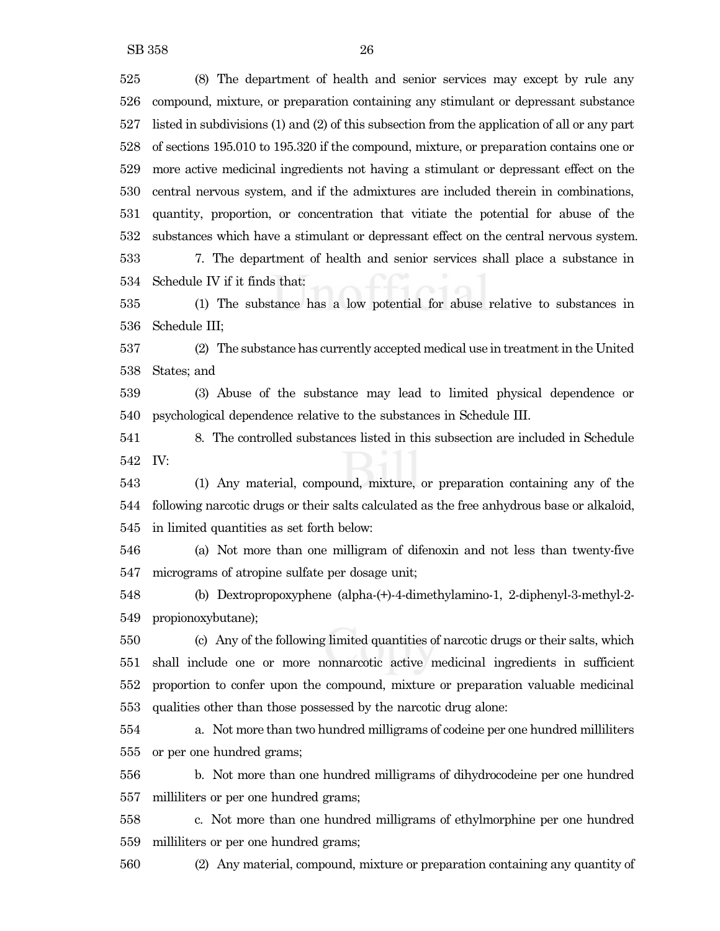SB 358 26

 (8) The department of health and senior services may except by rule any compound, mixture, or preparation containing any stimulant or depressant substance listed in subdivisions (1) and (2) of this subsection from the application of all or any part of sections 195.010 to 195.320 if the compound, mixture, or preparation contains one or more active medicinal ingredients not having a stimulant or depressant effect on the central nervous system, and if the admixtures are included therein in combinations, quantity, proportion, or concentration that vitiate the potential for abuse of the substances which have a stimulant or depressant effect on the central nervous system.

 7. The department of health and senior services shall place a substance in Schedule IV if it finds that:

 (1) The substance has a low potential for abuse relative to substances in Schedule III;

 (2) The substance has currently accepted medical use in treatmentin the United States; and

 (3) Abuse of the substance may lead to limited physical dependence or psychological dependence relative to the substances in Schedule III.

 8. The controlled substances listed in this subsection are included in Schedule IV:

 (1) Any material, compound, mixture, or preparation containing any of the following narcotic drugs or their salts calculated as the free anhydrous base or alkaloid, in limited quantities as set forth below:

 (a) Not more than one milligram of difenoxin and not less than twenty-five micrograms of atropine sulfate per dosage unit;

 (b) Dextropropoxyphene (alpha-(+)-4-dimethylamino-1, 2-diphenyl-3-methyl-2- propionoxybutane);

 (c) Any of the following limited quantities of narcotic drugs or their salts, which shall include one or more nonnarcotic active medicinal ingredients in sufficient proportion to confer upon the compound, mixture or preparation valuable medicinal qualities other than those possessed by the narcotic drug alone:

 a. Not more than two hundred milligrams of codeine per one hundred milliliters or per one hundred grams;

 b. Not more than one hundred milligrams of dihydrocodeine per one hundred milliliters or per one hundred grams;

 c. Not more than one hundred milligrams of ethylmorphine per one hundred milliliters or per one hundred grams;

(2) Any material, compound, mixture or preparation containing any quantity of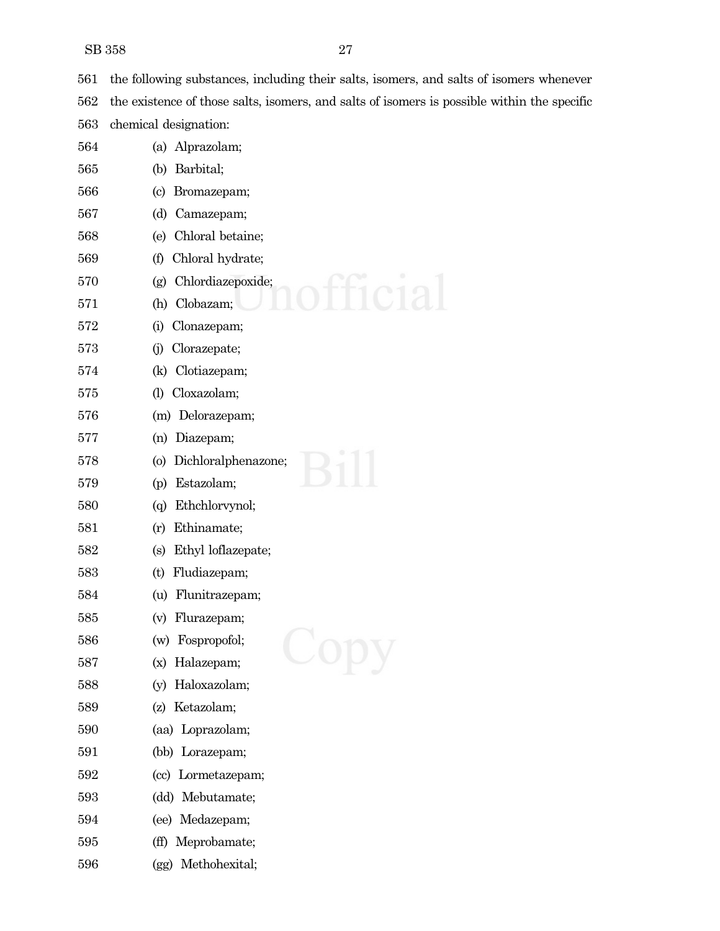SB 358 27

the following substances, including their salts, isomers, and salts of isomers whenever

the existence of those salts, isomers, and salts of isomers is possible within the specific

chemical designation:

| 564 | Alprazolam;<br>(a)                         |
|-----|--------------------------------------------|
| 565 | Barbital;<br>(b)                           |
| 566 | $\left( \mathrm{c} \right)$<br>Bromazepam; |
| 567 | Camazepam;<br>(d)                          |
| 568 | Chloral betaine;<br>(e)                    |
| 569 | (f)<br>Chloral hydrate;                    |
| 570 | Chlordiazepoxide;<br>(g)                   |
| 571 | Clobazam;<br>(h)                           |
| 572 | Clonazepam;<br>(i)                         |
| 573 | Clorazepate;<br>(i)                        |
| 574 | Clotiazepam;<br>(k)                        |
| 575 | Cloxazolam;<br>$\left( \mathrm{l}\right)$  |
| 576 | (m) Delorazepam;                           |
| 577 | Diazepam;<br>(n)                           |
| 578 | Dichloralphenazone;<br>$\circ$             |
| 579 | Estazolam;<br>(p)                          |
| 580 | Ethchlorvynol;<br>(q)                      |
| 581 | Ethinamate;<br>(r)                         |
| 582 | Ethyl loflazepate;<br>(s)                  |
| 583 | Fludiazepam;<br>(t)                        |
| 584 | Flunitrazepam;<br>(u)                      |
| 585 | Flurazepam;<br>(v)                         |
| 586 | Fospropofol;<br>(w)                        |
| 587 | (x) Halazepam;                             |
| 588 | Haloxazolam;<br>(v)                        |
| 589 | Ketazolam;<br>(z)                          |
| 590 | (aa) Loprazolam;                           |
| 591 | Lorazepam;<br>(bb)                         |
| 592 | (cc) Lormetazepam;                         |
| 593 | Mebutamate;<br>$\rm(dd)$                   |
| 594 | (ee) Medazepam;                            |
| 595 | Meprobamate;<br>(ff)                       |
| 596 | Methohexital;<br>(gg)                      |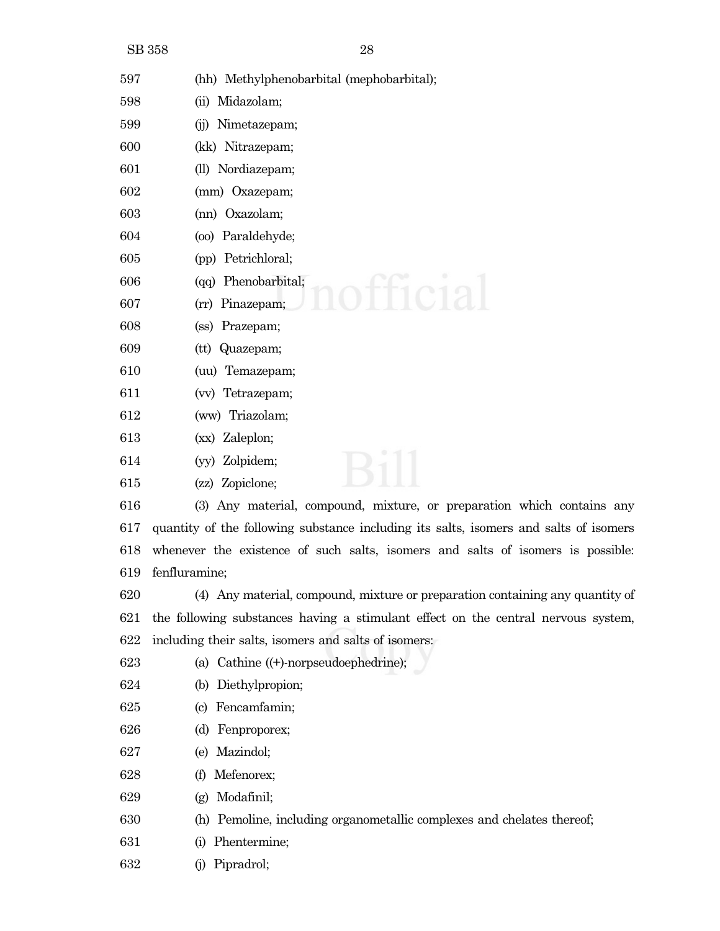(hh) Methylphenobarbital (mephobarbital);

- (ii) Midazolam;
- (jj) Nimetazepam;
- (kk) Nitrazepam;
- (ll) Nordiazepam;
- (mm) Oxazepam;
- (nn) Oxazolam;
- (oo) Paraldehyde;
- (pp) Petrichloral;
- (qq) Phenobarbital;
- (rr) Pinazepam;
- (ss) Prazepam;
- (tt) Quazepam;
- (uu) Temazepam;
- (vv) Tetrazepam;
- (ww) Triazolam;
- (xx) Zaleplon;
- (yy) Zolpidem;
- (zz) Zopiclone;
- (3) Any material, compound, mixture, or preparation which contains any quantity of the following substance including its salts, isomers and salts of isomers whenever the existence of such salts, isomers and salts of isomers is possible: fenfluramine;
- (4) Any material, compound, mixture or preparation containing any quantity of the following substances having a stimulant effect on the central nervous system, including their salts, isomers and salts of isomers:
- (a) Cathine ((+)-norpseudoephedrine);
- (b) Diethylpropion;
- (c) Fencamfamin;
- (d) Fenproporex;
- (e) Mazindol;
- (f) Mefenorex;
- (g) Modafinil;
- (h) Pemoline, including organometallic complexes and chelates thereof;
- (i) Phentermine;
- (j) Pipradrol;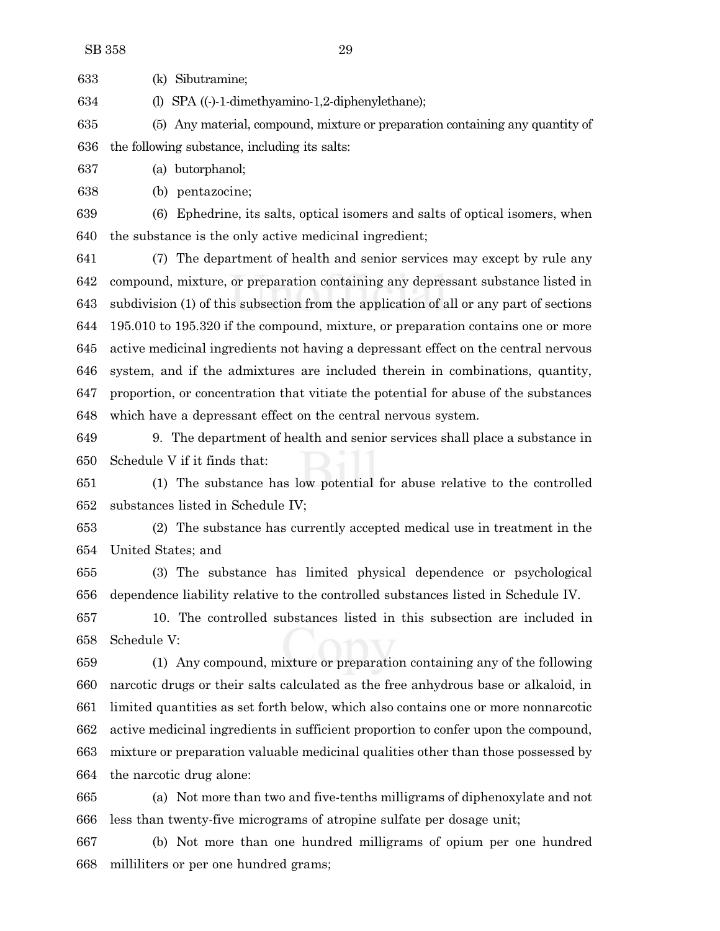(k) Sibutramine;

(l) SPA ((-)-1-dimethyamino-1,2-diphenylethane);

 (5) Any material, compound, mixture or preparation containing any quantity of the following substance, including its salts:

(a) butorphanol;

(b) pentazocine;

 (6) Ephedrine, its salts, optical isomers and salts of optical isomers, when the substance is the only active medicinal ingredient;

 (7) The department of health and senior services may except by rule any compound, mixture, or preparation containing any depressant substance listed in subdivision (1) of this subsection from the application of all or any part of sections 195.010 to 195.320 if the compound, mixture, or preparation contains one or more active medicinal ingredients not having a depressant effect on the central nervous system, and if the admixtures are included therein in combinations, quantity, proportion, or concentration that vitiate the potential for abuse of the substances which have a depressant effect on the central nervous system.

 9. The department of health and senior services shall place a substance in Schedule V if it finds that:

 (1) The substance has low potential for abuse relative to the controlled substances listed in Schedule IV;

 (2) The substance has currently accepted medical use in treatment in the United States; and

 (3) The substance has limited physical dependence or psychological dependence liability relative to the controlled substances listed in Schedule IV.

 10. The controlled substances listed in this subsection are included in Schedule V:

 (1) Any compound, mixture or preparation containing any of the following narcotic drugs or their salts calculated as the free anhydrous base or alkaloid, in limited quantities as set forth below, which also contains one or more nonnarcotic active medicinal ingredients in sufficient proportion to confer upon the compound, mixture or preparation valuable medicinal qualities other than those possessed by the narcotic drug alone:

 (a) Not more than two and five-tenths milligrams of diphenoxylate and not less than twenty-five micrograms of atropine sulfate per dosage unit;

 (b) Not more than one hundred milligrams of opium per one hundred milliliters or per one hundred grams;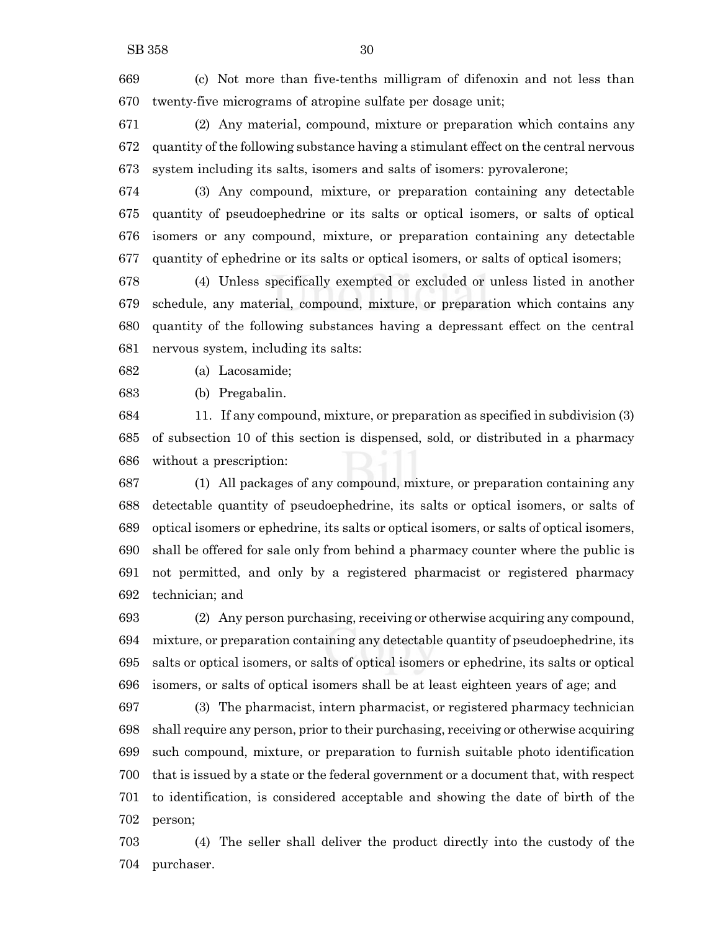(c) Not more than five-tenths milligram of difenoxin and not less than twenty-five micrograms of atropine sulfate per dosage unit;

 (2) Any material, compound, mixture or preparation which contains any quantity of the following substance having a stimulant effect on the central nervous system including its salts, isomers and salts of isomers: pyrovalerone;

 (3) Any compound, mixture, or preparation containing any detectable quantity of pseudoephedrine or its salts or optical isomers, or salts of optical isomers or any compound, mixture, or preparation containing any detectable quantity of ephedrine or its salts or optical isomers, or salts of optical isomers;

 (4) Unless specifically exempted or excluded or unless listed in another schedule, any material, compound, mixture, or preparation which contains any quantity of the following substances having a depressant effect on the central nervous system, including its salts:

(a) Lacosamide;

(b) Pregabalin.

 11. If any compound, mixture, or preparation as specified in subdivision (3) of subsection 10 of this section is dispensed, sold, or distributed in a pharmacy without a prescription:

 (1) All packages of any compound, mixture, or preparation containing any detectable quantity of pseudoephedrine, its salts or optical isomers, or salts of optical isomers or ephedrine, its salts or optical isomers, or salts of optical isomers, shall be offered for sale only from behind a pharmacy counter where the public is not permitted, and only by a registered pharmacist or registered pharmacy technician; and

 (2) Any person purchasing, receiving or otherwise acquiring any compound, mixture, or preparation containing any detectable quantity of pseudoephedrine, its salts or optical isomers, or salts of optical isomers or ephedrine, its salts or optical isomers, or salts of optical isomers shall be at least eighteen years of age; and

 (3) The pharmacist, intern pharmacist, or registered pharmacy technician shall require any person, prior to their purchasing, receiving or otherwise acquiring such compound, mixture, or preparation to furnish suitable photo identification that is issued by a state or the federal government or a document that, with respect to identification, is considered acceptable and showing the date of birth of the person;

 (4) The seller shall deliver the product directly into the custody of the purchaser.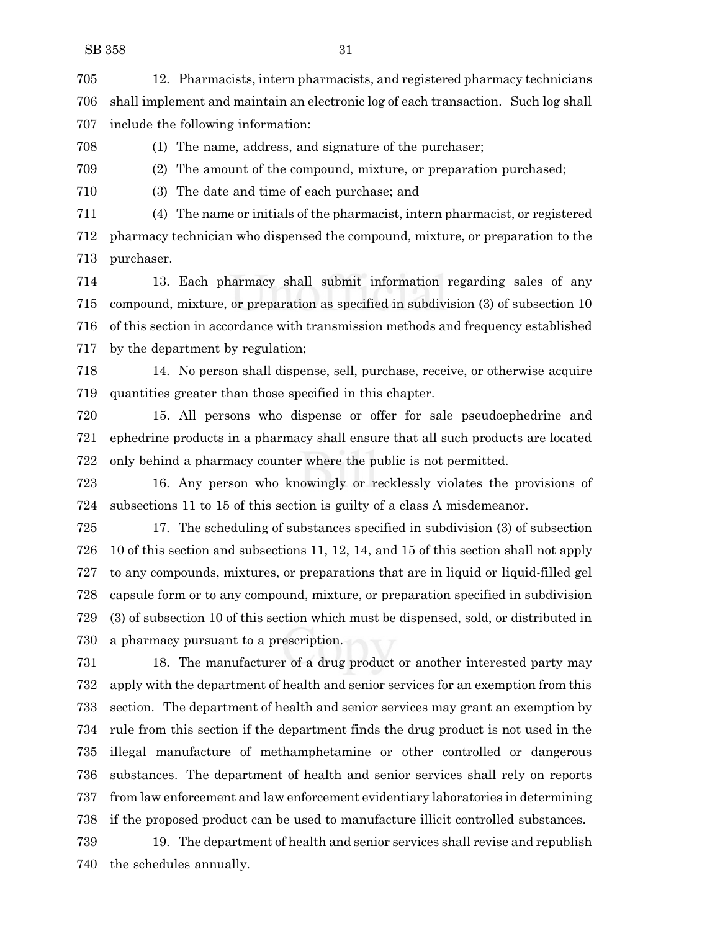12. Pharmacists, intern pharmacists, and registered pharmacy technicians shall implement and maintain an electronic log of each transaction. Such log shall include the following information:

(1) The name, address, and signature of the purchaser;

(2) The amount of the compound, mixture, or preparation purchased;

(3) The date and time of each purchase; and

 (4) The name or initials of the pharmacist, intern pharmacist, or registered pharmacy technician who dispensed the compound, mixture, or preparation to the purchaser.

 13. Each pharmacy shall submit information regarding sales of any compound, mixture, or preparation as specified in subdivision (3) of subsection 10 of this section in accordance with transmission methods and frequency established by the department by regulation;

 14. No person shall dispense, sell, purchase, receive, or otherwise acquire quantities greater than those specified in this chapter.

 15. All persons who dispense or offer for sale pseudoephedrine and ephedrine products in a pharmacy shall ensure that all such products are located only behind a pharmacy counter where the public is not permitted.

 16. Any person who knowingly or recklessly violates the provisions of subsections 11 to 15 of this section is guilty of a class A misdemeanor.

 17. The scheduling of substances specified in subdivision (3) of subsection 10 of this section and subsections 11, 12, 14, and 15 of this section shall not apply to any compounds, mixtures, or preparations that are in liquid or liquid-filled gel capsule form or to any compound, mixture, or preparation specified in subdivision (3) of subsection 10 of this section which must be dispensed, sold, or distributed in a pharmacy pursuant to a prescription.

 18. The manufacturer of a drug product or another interested party may apply with the department of health and senior services for an exemption from this section. The department of health and senior services may grant an exemption by rule from this section if the department finds the drug product is not used in the illegal manufacture of methamphetamine or other controlled or dangerous substances. The department of health and senior services shall rely on reports from law enforcement and law enforcement evidentiary laboratories in determining if the proposed product can be used to manufacture illicit controlled substances.

 19. The department of health and senior services shall revise and republish the schedules annually.